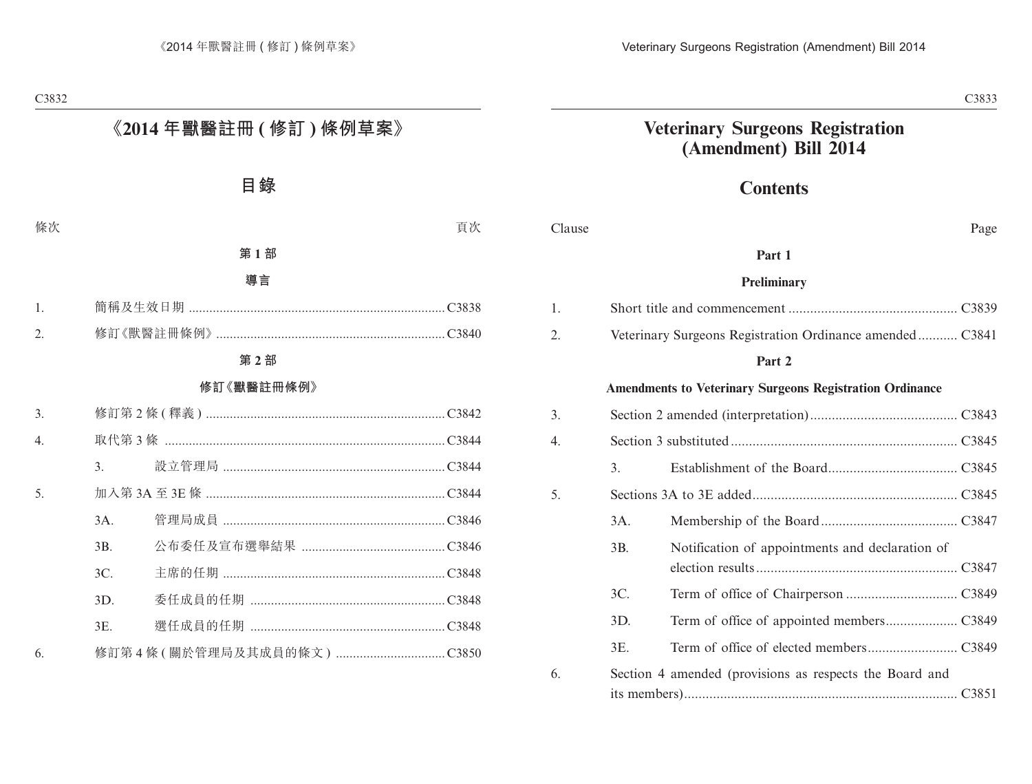# **Contents**

| Clause |     |                                                                 | Page |
|--------|-----|-----------------------------------------------------------------|------|
|        |     | Part 1                                                          |      |
|        |     | Preliminary                                                     |      |
| 1.     |     |                                                                 |      |
| 2.     |     | Veterinary Surgeons Registration Ordinance amended C3841        |      |
|        |     | Part 2                                                          |      |
|        |     | <b>Amendments to Veterinary Surgeons Registration Ordinance</b> |      |
| 3.     |     |                                                                 |      |
| 4.     |     |                                                                 |      |
|        | 3.  |                                                                 |      |
| 5.     |     |                                                                 |      |
|        | 3A. |                                                                 |      |
|        | 3B. | Notification of appointments and declaration of                 |      |
|        | 3C. |                                                                 |      |
|        | 3D. |                                                                 |      |
|        | 3E. |                                                                 |      |
| 6.     |     | Section 4 amended (provisions as respects the Board and         |      |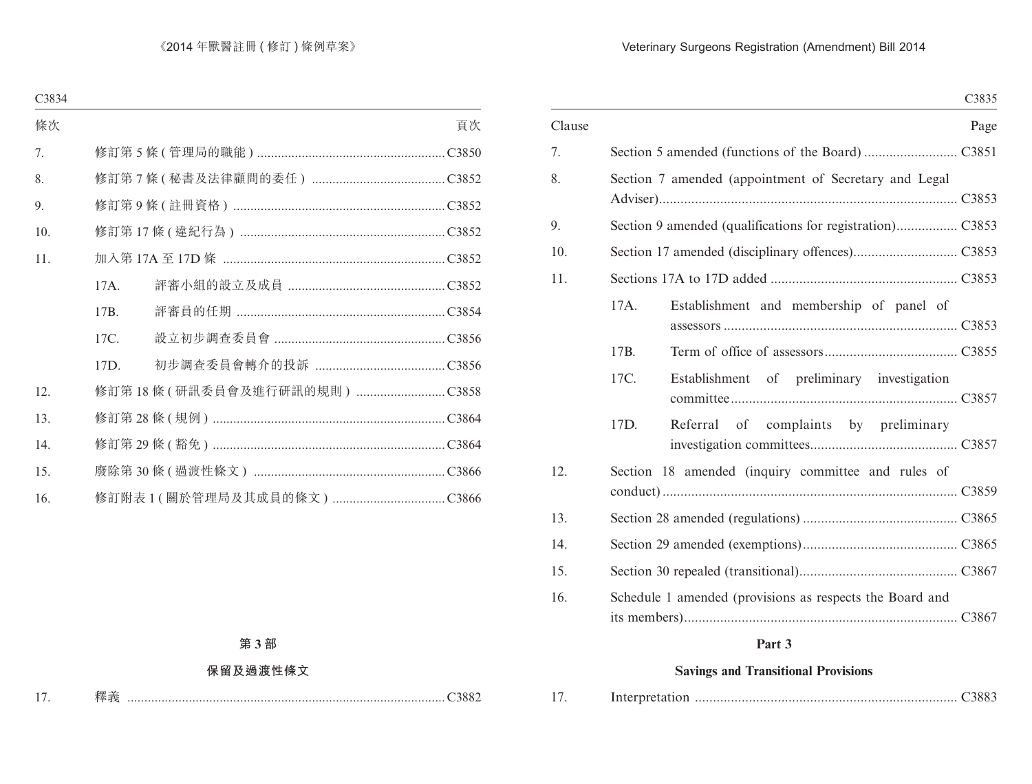|        |                                                          | C3835 |
|--------|----------------------------------------------------------|-------|
| Clause |                                                          | Page  |
| 7.     |                                                          |       |
| 8.     | Section 7 amended (appointment of Secretary and Legal    |       |
| 9.     |                                                          |       |
| 10.    |                                                          |       |
| 11.    |                                                          |       |
|        | 17A.<br>Establishment and membership of panel of         |       |
|        | 17B.                                                     |       |
|        | 17C.<br>Establishment of preliminary investigation       |       |
|        | 17D.<br>Referral of complaints by preliminary            |       |
| 12.    | Section 18 amended (inquiry committee and rules of       |       |
| 13.    |                                                          |       |
| 14.    |                                                          |       |
| 15.    |                                                          |       |
| 16.    | Schedule 1 amended (provisions as respects the Board and |       |

# **Part 3**

# **Savings and Transitional Provisions**

| 17 |  |  |  |
|----|--|--|--|
|----|--|--|--|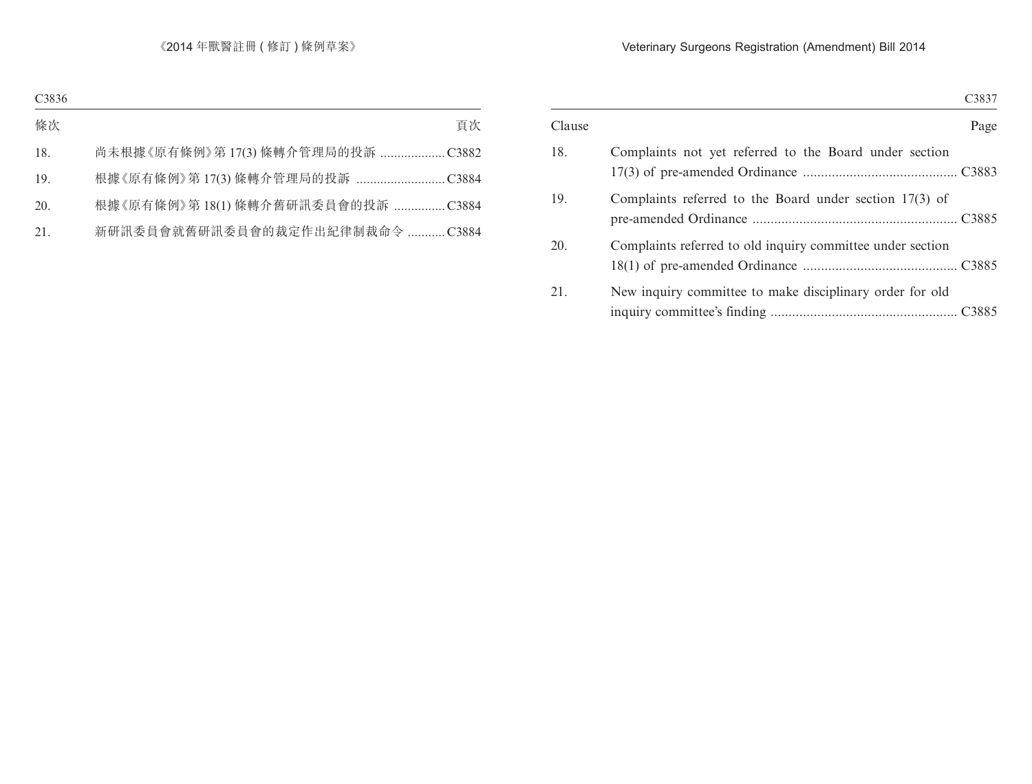|        |                                                            | C3837 |
|--------|------------------------------------------------------------|-------|
| Clause |                                                            | Page  |
| 18.    | Complaints not yet referred to the Board under section     |       |
| 19.    | Complaints referred to the Board under section $17(3)$ of  |       |
| 20.    | Complaints referred to old inquiry committee under section |       |
| 21.    | New inquiry committee to make disciplinary order for old   |       |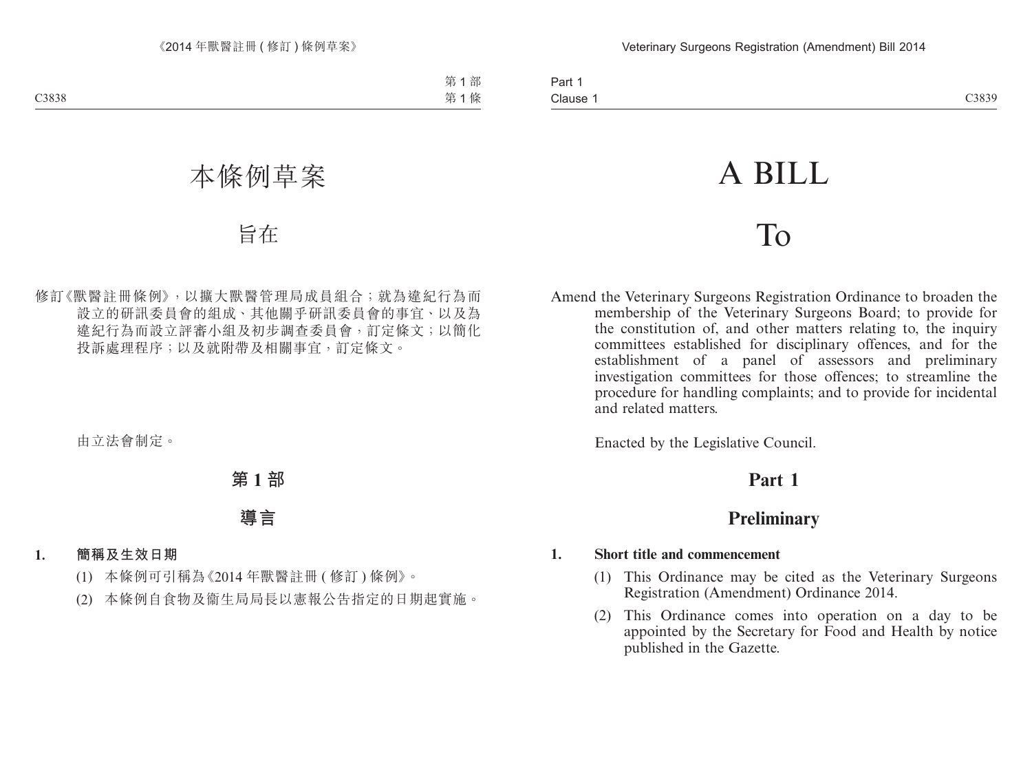# A BILL

# To

Amend the Veterinary Surgeons Registration Ordinance to broaden the membership of the Veterinary Surgeons Board; to provide for the constitution of, and other matters relating to, the inquiry committees established for disciplinary offences, and for the establishment of a panel of assessors and preliminary investigation committees for those offences; to streamline the procedure for handling complaints; and to provide for incidental and related matters.

Enacted by the Legislative Council.

# **Part 1**

# **Preliminary**

# **1. Short title and commencement**

- (1) This Ordinance may be cited as the Veterinary Surgeons Registration (Amendment) Ordinance 2014.
- (2) This Ordinance comes into operation on a day to be appointed by the Secretary for Food and Health by notice published in the Gazette.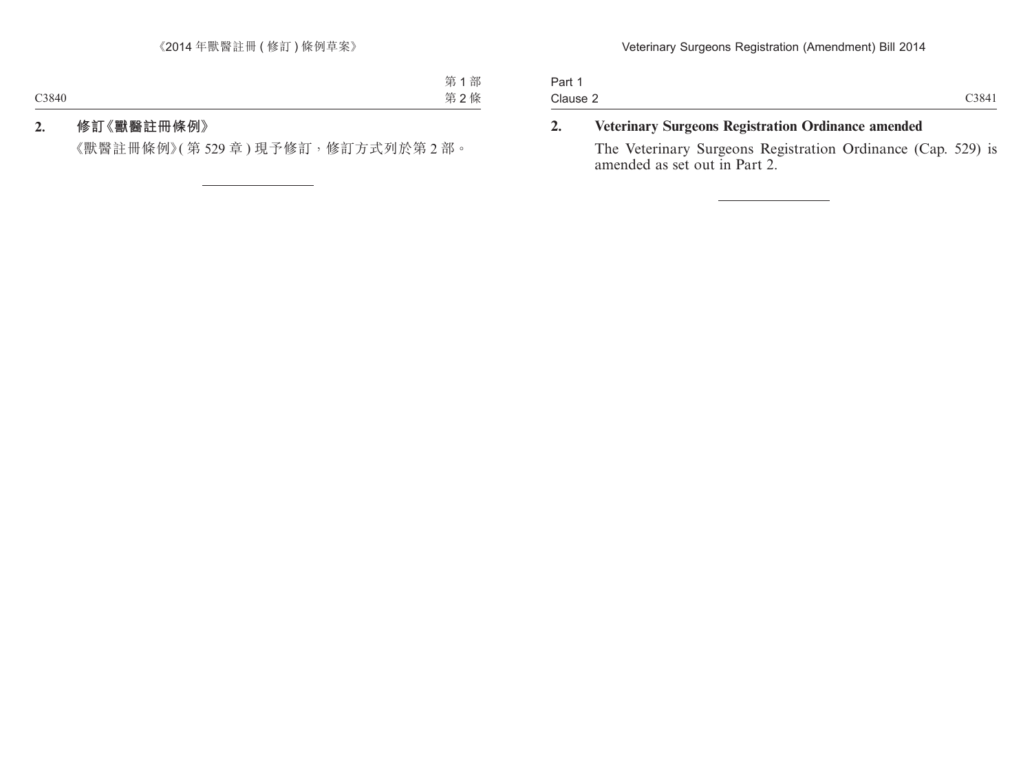| Part 1   |       |
|----------|-------|
| Clause 2 | C3841 |

# **2. Veterinary Surgeons Registration Ordinance amended**

The Veterinary Surgeons Registration Ordinance (Cap. 529) is amended as set out in Part 2.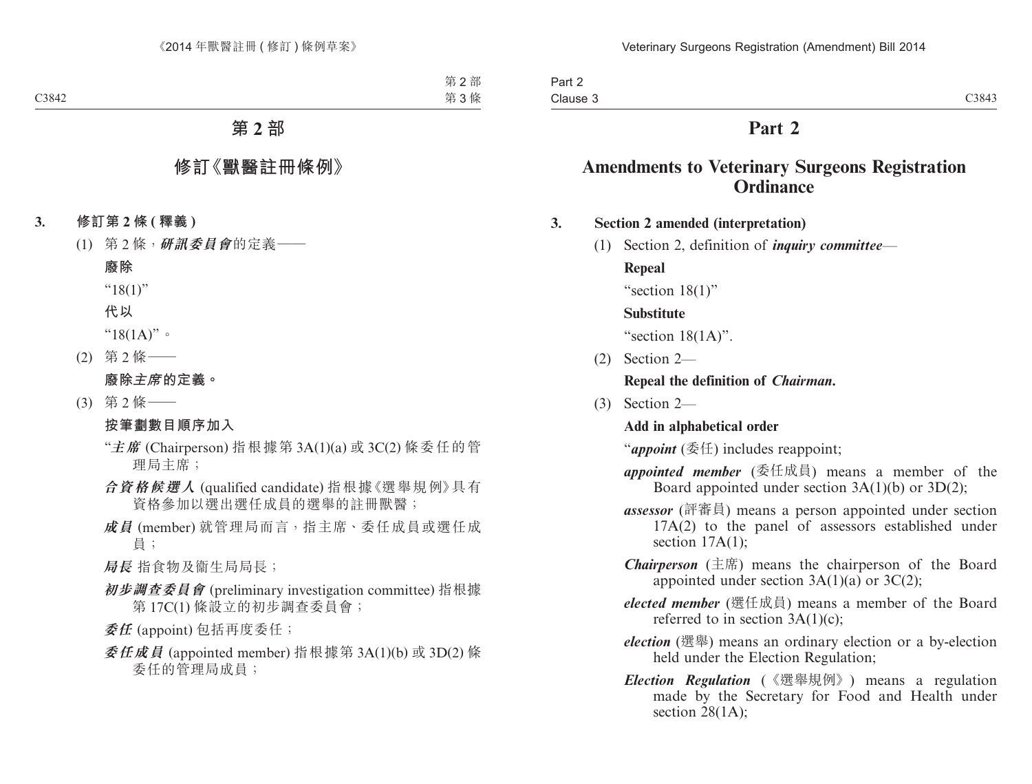# **Part 2**

# **Amendments to Veterinary Surgeons Registration Ordinance**

# **3. Section 2 amended (interpretation)**

(1) Section 2, definition of *inquiry committee*—

**Repeal**

"section 18(1)"

# **Substitute**

"section  $18(1A)$ ".

(2) Section 2—

# **Repeal the definition of** *Chairman***.**

(3) Section 2—

# **Add in alphabetical order**

"*appoint* (委任) includes reappoint;

- *appointed member* (委任成員) means a member of the Board appointed under section 3A(1)(b) or 3D(2);
- *assessor* (評審員) means a person appointed under section 17A(2) to the panel of assessors established under section  $17A(1)$ ;
- *Chairperson* (主席) means the chairperson of the Board appointed under section  $3A(1)(a)$  or  $3C(2)$ ;
- *elected member* (選任成員) means a member of the Board referred to in section  $3A(1)(c)$ ;
- *election* (選舉) means an ordinary election or a by-election held under the Election Regulation;
- *Election Regulation* (《選舉規例》) means a regulation made by the Secretary for Food and Health under section 28(1A);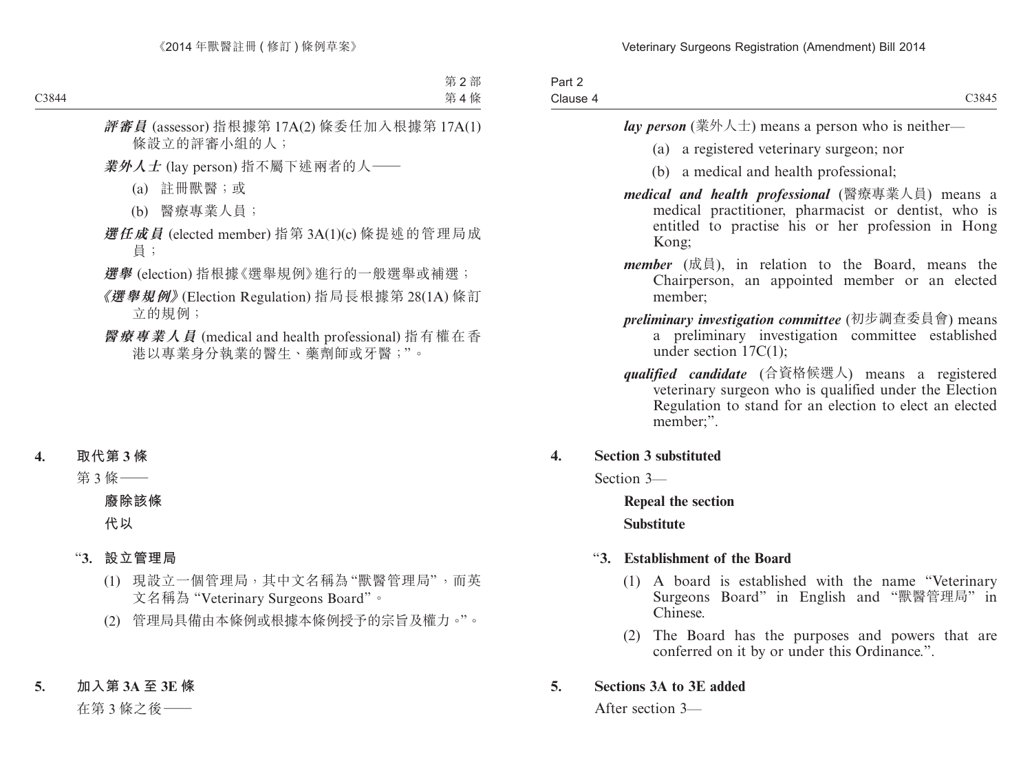| Part 2   |       |
|----------|-------|
| Clause 4 | C3845 |

*lay person* (業外人士) means a person who is neither—

- (a) a registered veterinary surgeon; nor
- (b) a medical and health professional;
- *medical and health professional* (醫療專業人員) means a medical practitioner, pharmacist or dentist, who is entitled to practise his or her profession in Hong Kong;
- *member* (成員), in relation to the Board, means the Chairperson, an appointed member or an elected member;
- *preliminary investigation committee* (初步調查委員會) means a preliminary investigation committee established under section 17C(1);
- *qualified candidate* (合資格候選人) means a registered veterinary surgeon who is qualified under the Election Regulation to stand for an election to elect an elected member;".

# **4. Section 3 substituted**

Section 3—

**Repeal the section Substitute**

# "**3. Establishment of the Board**

- (1) A board is established with the name "Veterinary Surgeons Board" in English and "獸醫管理局" in Chinese.
- (2) The Board has the purposes and powers that are conferred on it by or under this Ordinance.".

# **5. Sections 3A to 3E added**

After section 3—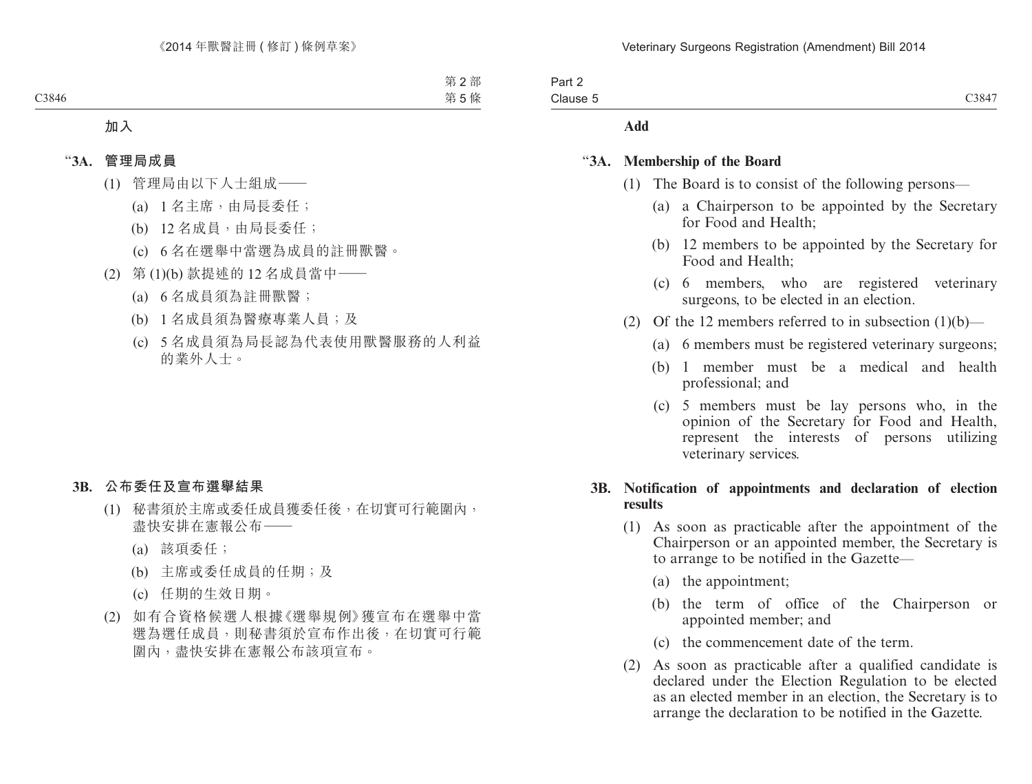| Part 2   |                   |
|----------|-------------------|
| Clause 5 | C384 <sup>-</sup> |

#### **Add**

#### "**3A. Membership of the Board**

- (1) The Board is to consist of the following persons—
	- (a) a Chairperson to be appointed by the Secretary for Food and Health;
	- (b) 12 members to be appointed by the Secretary for Food and Health;
	- (c) 6 members, who are registered veterinary surgeons, to be elected in an election.
- (2) Of the 12 members referred to in subsection  $(1)(b)$ 
	- (a) 6 members must be registered veterinary surgeons;
	- (b) 1 member must be a medical and health professional; and
	- (c) 5 members must be lay persons who, in the opinion of the Secretary for Food and Health, represent the interests of persons utilizing veterinary services.

### **3B. Notification of appointments and declaration of election results**

- (1) As soon as practicable after the appointment of the Chairperson or an appointed member, the Secretary is to arrange to be notified in the Gazette—
	- (a) the appointment;
	- (b) the term of office of the Chairperson or appointed member; and
	- (c) the commencement date of the term.
- (2) As soon as practicable after a qualified candidate is declared under the Election Regulation to be elected as an elected member in an election, the Secretary is to arrange the declaration to be notified in the Gazette.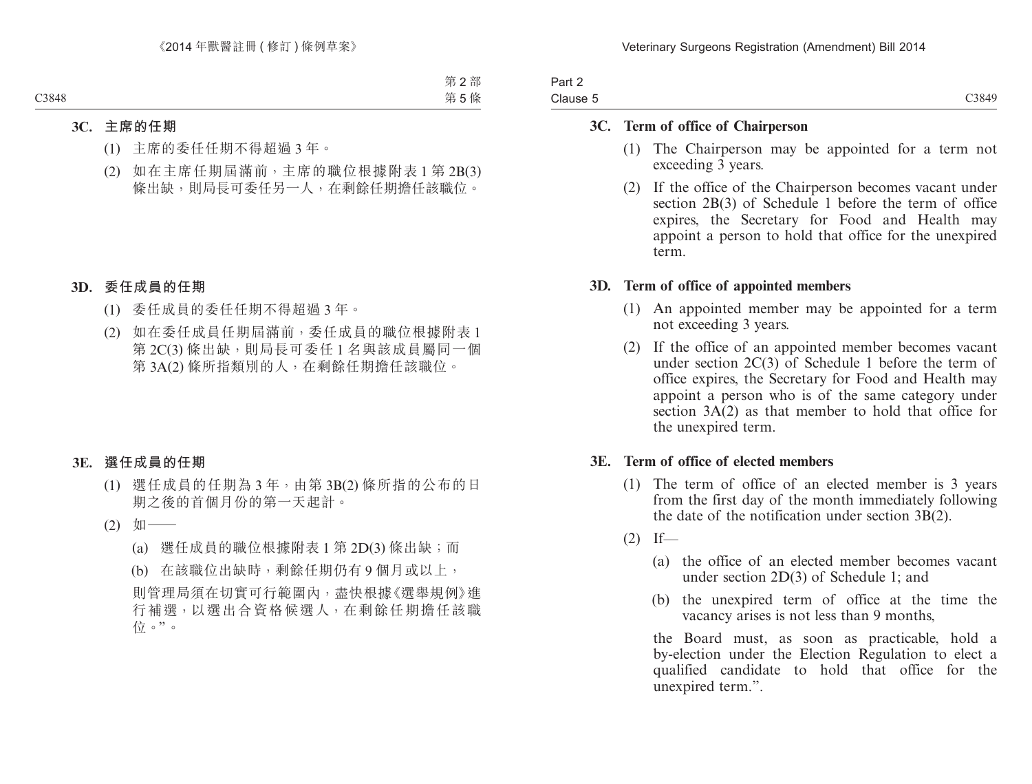| Part 2   |       |
|----------|-------|
| Clause 5 | C3849 |

#### **3C. Term of office of Chairperson**

- (1) The Chairperson may be appointed for a term not exceeding 3 years.
- (2) If the office of the Chairperson becomes vacant under section 2B(3) of Schedule 1 before the term of office expires, the Secretary for Food and Health may appoint a person to hold that office for the unexpired term.

### **3D. Term of office of appointed members**

- (1) An appointed member may be appointed for a term not exceeding 3 years.
- (2) If the office of an appointed member becomes vacant under section  $2C(3)$  of Schedule 1 before the term of office expires, the Secretary for Food and Health may appoint a person who is of the same category under section  $3A(2)$  as that member to hold that office for the unexpired term.

### **3E. Term of office of elected members**

- (1) The term of office of an elected member is 3 years from the first day of the month immediately following the date of the notification under section 3B(2).
- $(2)$  If—
	- (a) the office of an elected member becomes vacant under section 2D(3) of Schedule 1; and
	- (b) the unexpired term of office at the time the vacancy arises is not less than 9 months,

the Board must, as soon as practicable, hold a by-election under the Election Regulation to elect a qualified candidate to hold that office for the unexpired term.".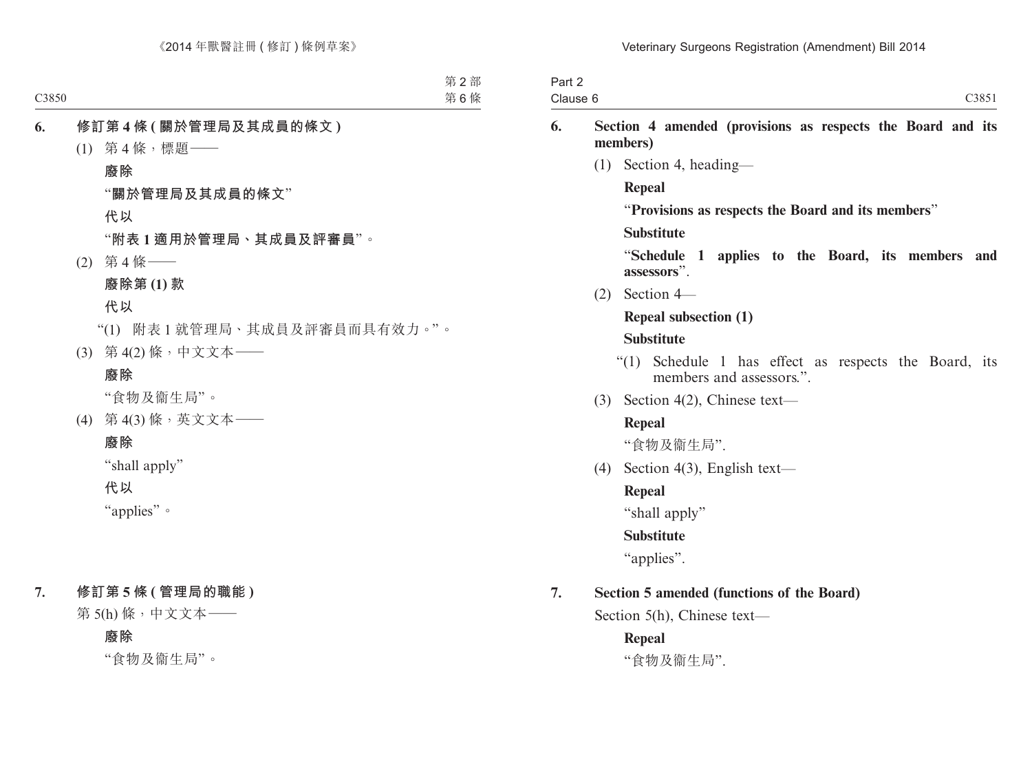| Part 2   |      |
|----------|------|
| Clause 6 | C385 |

## **6. Section 4 amended (provisions as respects the Board and its members)**

(1) Section 4, heading—

### **Repeal**

"**Provisions as respects the Board and its members**"

#### **Substitute**

"**Schedule 1 applies to the Board, its members and assessors**".

(2) Section 4—

#### **Repeal subsection (1)**

#### **Substitute**

- "(1) Schedule 1 has effect as respects the Board, its members and assessors."
- (3) Section 4(2), Chinese text—

#### **Repeal**

"食物及衞生局".

(4) Section 4(3), English text—

# **Repeal**

"shall apply"

#### **Substitute**

"applies".

# **7. Section 5 amended (functions of the Board)**

Section 5(h), Chinese text—

# **Repeal**

"食物及衞生局".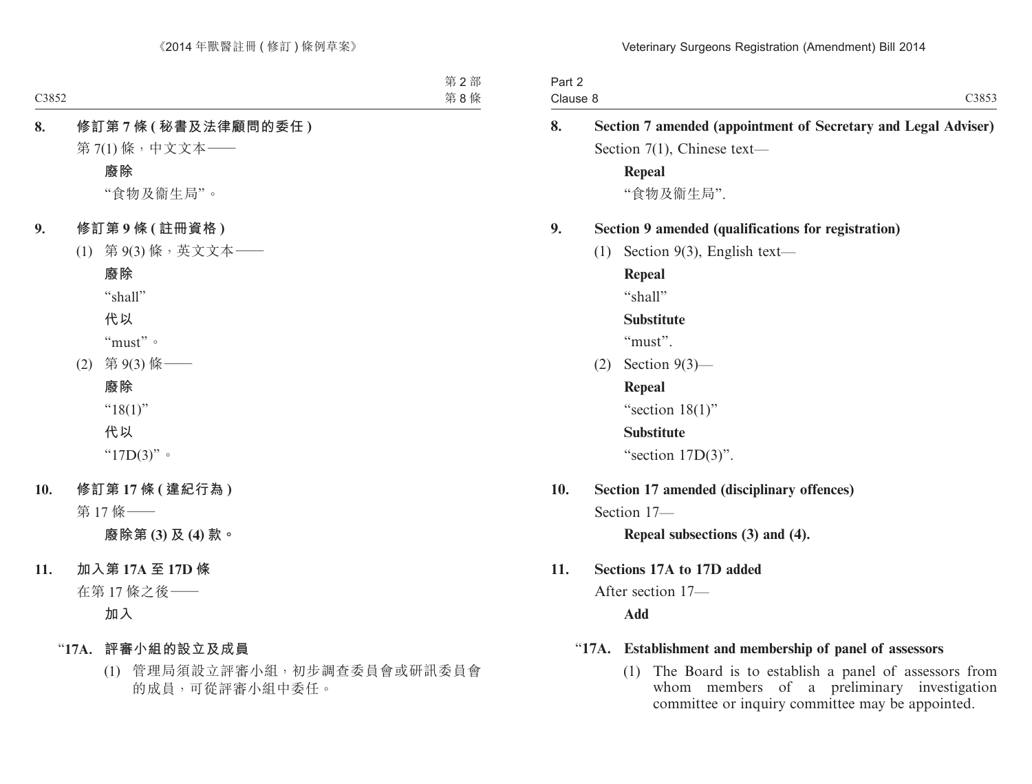| Part 2 |          |                                                                                                                 |
|--------|----------|-----------------------------------------------------------------------------------------------------------------|
|        | Clause 8 | C3853                                                                                                           |
| 8.     |          | Section 7 amended (appointment of Secretary and Legal Adviser)                                                  |
|        |          | Section $7(1)$ , Chinese text-                                                                                  |
|        |          | <b>Repeal</b>                                                                                                   |
|        |          | "食物及衞生局".                                                                                                       |
| 9.     |          | Section 9 amended (qualifications for registration)                                                             |
|        | (1)      | Section $9(3)$ , English text—                                                                                  |
|        |          | <b>Repeal</b>                                                                                                   |
|        |          | "shall"                                                                                                         |
|        |          | <b>Substitute</b>                                                                                               |
|        |          | "must".                                                                                                         |
|        | (2)      | Section $9(3)$ —                                                                                                |
|        |          | <b>Repeal</b>                                                                                                   |
|        |          | "section $18(1)$ "                                                                                              |
|        |          | <b>Substitute</b>                                                                                               |
|        |          | "section $17D(3)$ ".                                                                                            |
| 10.    |          | Section 17 amended (disciplinary offences)                                                                      |
|        |          | Section 17-                                                                                                     |
|        |          | Repeal subsections (3) and (4).                                                                                 |
| 11.    |          | Sections 17A to 17D added                                                                                       |
|        |          | After section 17-                                                                                               |
|        |          | Add                                                                                                             |
|        | "17A.    | Establishment and membership of panel of assessors                                                              |
|        |          | the contract of the contract of the contract of the contract of the contract of the contract of the contract of |

(1) The Board is to establish a panel of assessors from whom members of a preliminary investigation committee or inquiry committee may be appointed.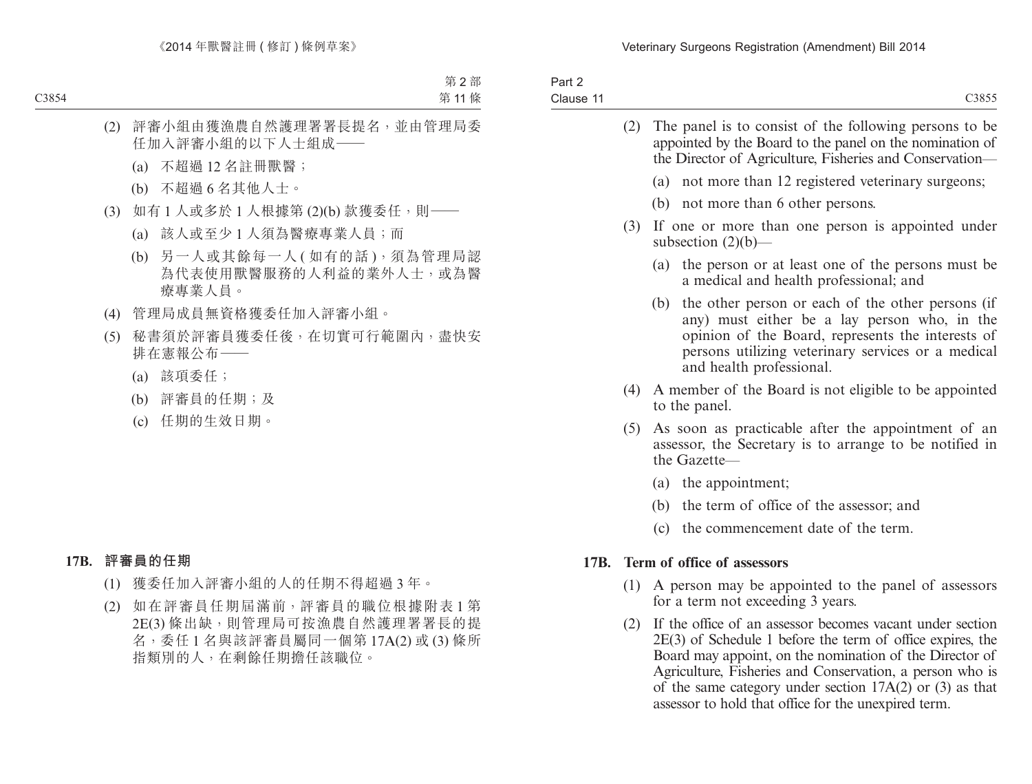| Part 2    |       |
|-----------|-------|
| Clause 11 | C3855 |

| (2) | The panel is to consist of the following persons to be<br>appointed by the Board to the panel on the nomination of<br>the Director of Agriculture, Fisheries and Conservation—                                                                  |
|-----|-------------------------------------------------------------------------------------------------------------------------------------------------------------------------------------------------------------------------------------------------|
|     | (a) not more than 12 registered veterinary surgeons;                                                                                                                                                                                            |
|     | (b) not more than 6 other persons.                                                                                                                                                                                                              |
| (3) | If one or more than one person is appointed under<br>subsection $(2)(b)$ —                                                                                                                                                                      |
|     | (a) the person or at least one of the persons must be<br>a medical and health professional; and                                                                                                                                                 |
|     | the other person or each of the other persons (if<br>(b)<br>any) must either be a lay person who, in the<br>opinion of the Board, represents the interests of<br>persons utilizing veterinary services or a medical<br>and health professional. |
| (4) | A member of the Board is not eligible to be appointed<br>to the panel.                                                                                                                                                                          |
| (5) | As soon as practicable after the appointment of an<br>assessor, the Secretary is to arrange to be notified in<br>the Gazette-                                                                                                                   |
|     | (a) the appointment;                                                                                                                                                                                                                            |
|     | (b) the term of office of the assessor; and                                                                                                                                                                                                     |
|     | (c) the commencement date of the term.                                                                                                                                                                                                          |
|     | 17B. Term of office of assessors                                                                                                                                                                                                                |
|     | (1) A person may be appointed to the panel of assessors<br>for a term not exceeding 3 years.                                                                                                                                                    |
|     | (2) If the office of an assessor becomes vacant under section                                                                                                                                                                                   |

2E(3) of Schedule 1 before the term of office expires, the Board may appoint, on the nomination of the Director of Agriculture, Fisheries and Conservation, a person who is of the same category under section  $17A(2)$  or (3) as that assessor to hold that office for the unexpired term.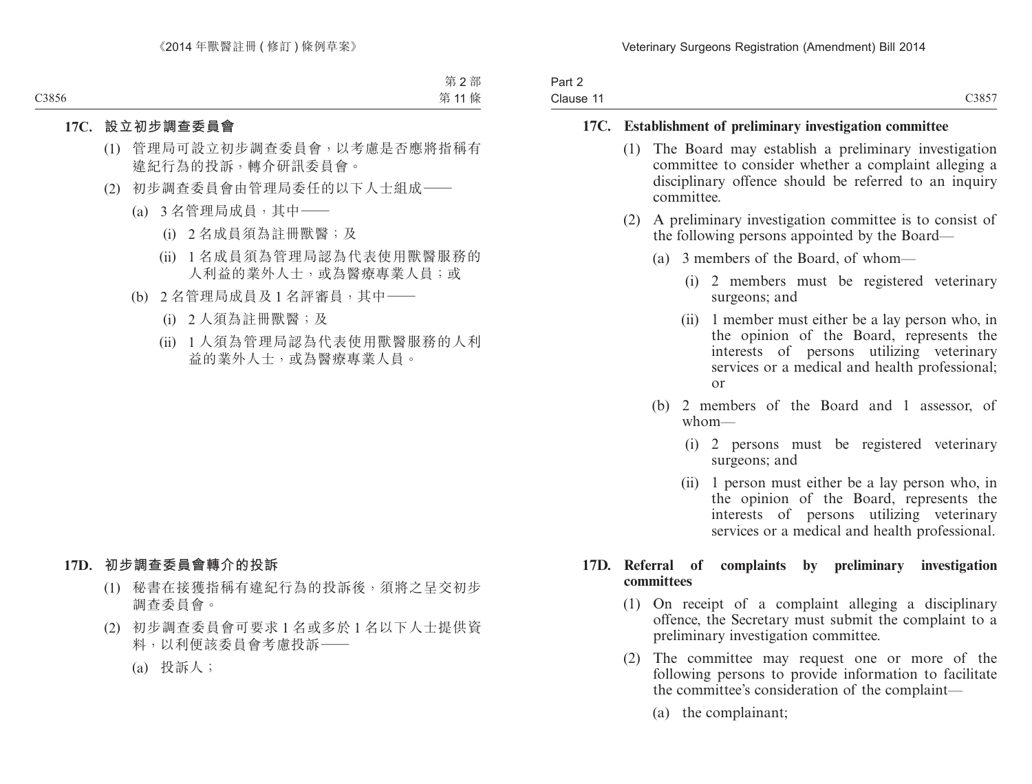| Part 2    |                    |
|-----------|--------------------|
| Clause 11 | C <sub>3</sub> 857 |

#### **17C. Establishment of preliminary investigation committee**

- (1) The Board may establish a preliminary investigation committee to consider whether a complaint alleging a disciplinary offence should be referred to an inquiry committee.
- (2) A preliminary investigation committee is to consist of the following persons appointed by the Board—
	- (a) 3 members of the Board, of whom—
		- (i) 2 members must be registered veterinary surgeons; and
		- (ii) 1 member must either be a lay person who, in the opinion of the Board, represents the interests of persons utilizing veterinary services or a medical and health professional; or
	- (b) 2 members of the Board and 1 assessor, of whom—
		- (i) 2 persons must be registered veterinary surgeons; and
		- (ii) 1 person must either be a lay person who, in the opinion of the Board, represents the interests of persons utilizing veterinary services or a medical and health professional.

### **17D. Referral of complaints by preliminary investigation committees**

- (1) On receipt of a complaint alleging a disciplinary offence, the Secretary must submit the complaint to a preliminary investigation committee.
- (2) The committee may request one or more of the following persons to provide information to facilitate the committee's consideration of the complaint—
	- (a) the complainant;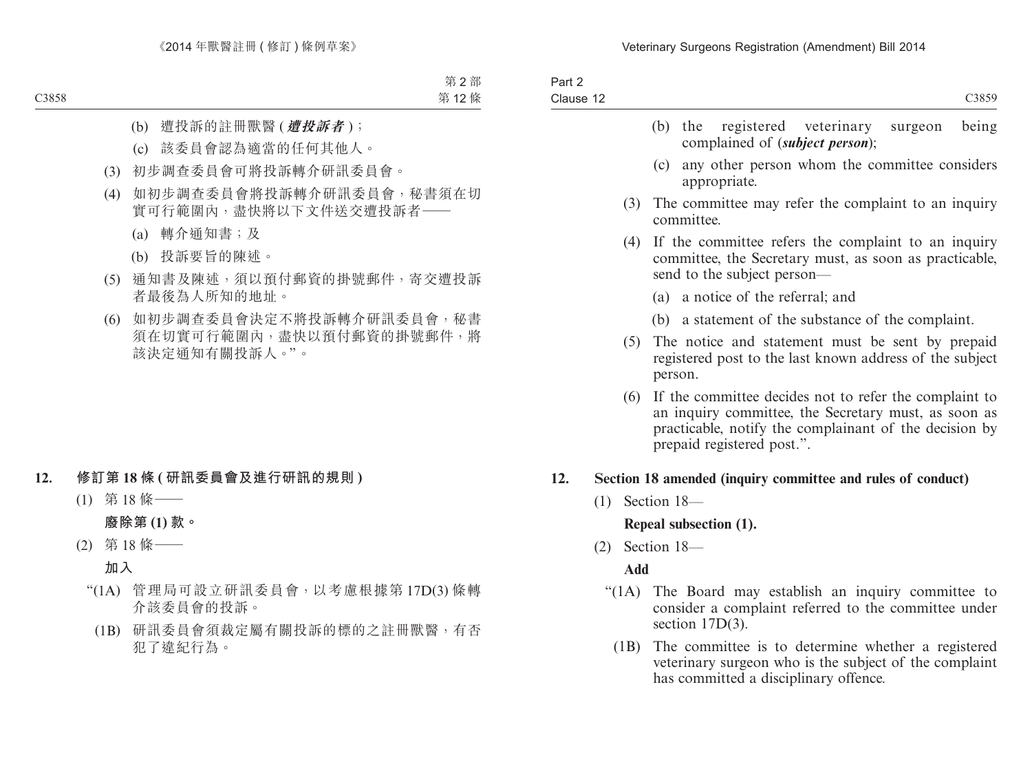| Part 2<br>Clause 12 |     |            |                   | C3859                                                                                                                                                                                                  |
|---------------------|-----|------------|-------------------|--------------------------------------------------------------------------------------------------------------------------------------------------------------------------------------------------------|
|                     |     |            | $(b)$ the         | registered veterinary<br>being<br>surgeon<br>complained of <i>(subject person)</i> ;                                                                                                                   |
|                     |     |            |                   | (c) any other person whom the committee considers<br>appropriate.                                                                                                                                      |
|                     |     | (3)        |                   | The committee may refer the complaint to an inquiry<br>committee.                                                                                                                                      |
|                     |     | (4)        |                   | If the committee refers the complaint to an inquiry<br>committee, the Secretary must, as soon as practicable,<br>send to the subject person—                                                           |
|                     |     |            |                   | (a) a notice of the referral; and                                                                                                                                                                      |
|                     |     |            |                   | (b) a statement of the substance of the complaint.                                                                                                                                                     |
|                     |     | (5)        | person.           | The notice and statement must be sent by prepaid<br>registered post to the last known address of the subject                                                                                           |
|                     |     | (6)        |                   | If the committee decides not to refer the complaint to<br>an inquiry committee, the Secretary must, as soon as<br>practicable, notify the complainant of the decision by<br>prepaid registered post.". |
| 12.                 |     |            |                   | Section 18 amended (inquiry committee and rules of conduct)                                                                                                                                            |
|                     | (1) |            | Section 18-       |                                                                                                                                                                                                        |
|                     |     |            |                   | Repeal subsection (1).                                                                                                                                                                                 |
|                     |     |            | $(2)$ Section 18- |                                                                                                                                                                                                        |
|                     |     | <b>Add</b> |                   |                                                                                                                                                                                                        |
|                     |     | " $(1A)$ " |                   | The Board may establish an inquiry committee to<br>consider a complaint referred to the committee under<br>section $17D(3)$ .                                                                          |
|                     |     | (1B)       |                   | The committee is to determine whether a registered<br>veterinary surgeon who is the subject of the complaint<br>has committed a disciplinary offence.                                                  |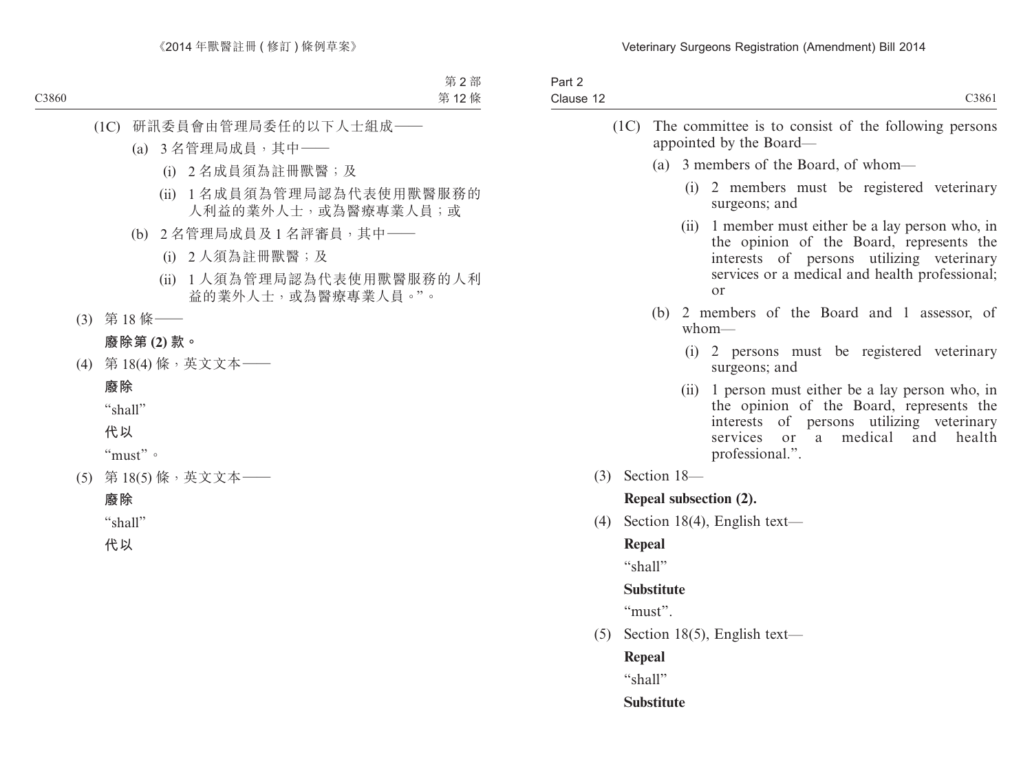| Part 2<br>Clause 12 |                   |      | C3861                                                                                                                                                                                                    |
|---------------------|-------------------|------|----------------------------------------------------------------------------------------------------------------------------------------------------------------------------------------------------------|
|                     |                   |      | (1C) The committee is to consist of the following persons<br>appointed by the Board—                                                                                                                     |
|                     | (a)               |      | 3 members of the Board, of whom—                                                                                                                                                                         |
|                     |                   |      | (i) 2 members must be registered veterinary<br>surgeons; and                                                                                                                                             |
|                     |                   | (ii) | 1 member must either be a lay person who, in<br>the opinion of the Board, represents the<br>interests of persons utilizing veterinary<br>services or a medical and health professional;<br>or            |
|                     | (b)               |      | 2 members of the Board and 1 assessor, of<br>$whom$ —                                                                                                                                                    |
|                     |                   | (i)  | 2 persons must be registered veterinary<br>surgeons; and                                                                                                                                                 |
|                     |                   | (ii) | 1 person must either be a lay person who, in<br>the opinion of the Board, represents the<br>interests of persons utilizing veterinary<br>medical<br>services or<br>and<br>health<br>a<br>professional.". |
|                     | $(3)$ Section 18- |      |                                                                                                                                                                                                          |
|                     |                   |      | Repeal subsection (2).                                                                                                                                                                                   |
| (4)                 |                   |      | Section 18(4), English text—                                                                                                                                                                             |
|                     | Repeal            |      |                                                                                                                                                                                                          |
|                     | "shall"           |      |                                                                                                                                                                                                          |
|                     | <b>Substitute</b> |      |                                                                                                                                                                                                          |
|                     | "must".           |      |                                                                                                                                                                                                          |
|                     |                   |      | $(5)$ Section 18(5), English text—                                                                                                                                                                       |
|                     | <b>Repeal</b>     |      |                                                                                                                                                                                                          |
|                     | "shall"           |      |                                                                                                                                                                                                          |
|                     | <b>Substitute</b> |      |                                                                                                                                                                                                          |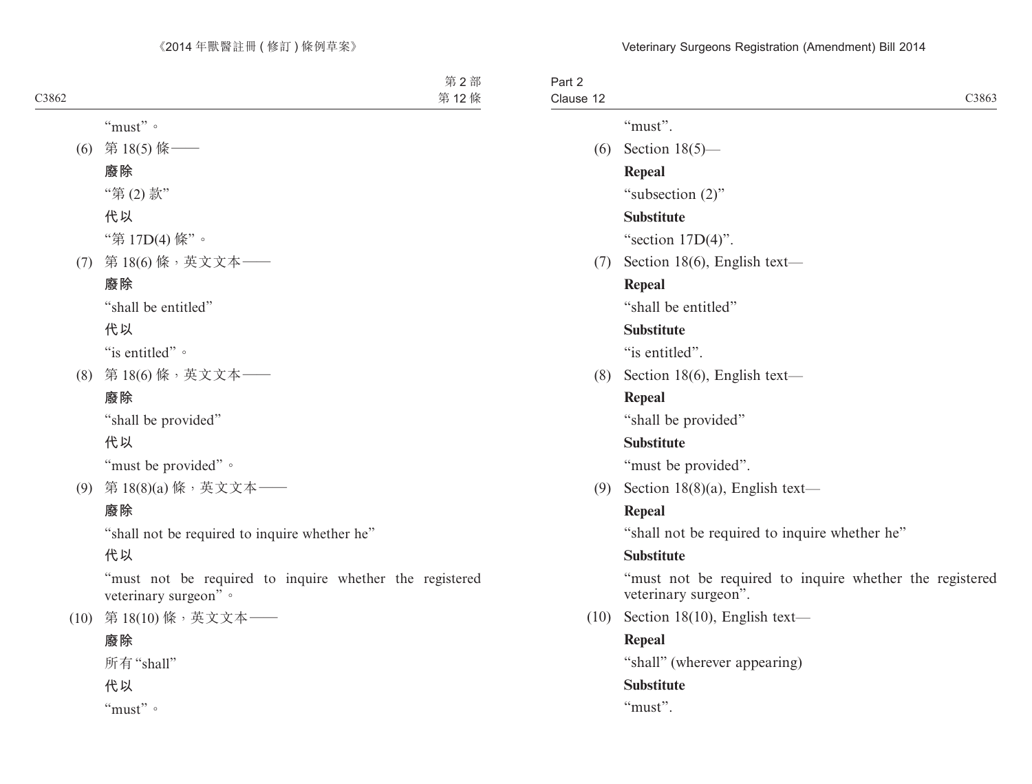| Part 2<br>Clause 12 |      | C3863                                                                           |
|---------------------|------|---------------------------------------------------------------------------------|
|                     |      | "must".                                                                         |
|                     |      | (6) Section $18(5)$ —                                                           |
|                     |      | <b>Repeal</b>                                                                   |
|                     |      | "subsection (2)"                                                                |
|                     |      | <b>Substitute</b>                                                               |
|                     |      | "section $17D(4)$ ".                                                            |
|                     |      | $(7)$ Section 18(6), English text—                                              |
|                     |      | Repeal                                                                          |
|                     |      | "shall be entitled"                                                             |
|                     |      | <b>Substitute</b>                                                               |
|                     |      | "is entitled".                                                                  |
|                     | (8)  | Section 18(6), English text—                                                    |
|                     |      | <b>Repeal</b>                                                                   |
|                     |      | "shall be provided"                                                             |
|                     |      | <b>Substitute</b>                                                               |
|                     |      | "must be provided".                                                             |
|                     |      | (9) Section 18(8)(a), English text—                                             |
|                     |      | <b>Repeal</b>                                                                   |
|                     |      | "shall not be required to inquire whether he"                                   |
|                     |      | <b>Substitute</b>                                                               |
|                     |      | "must not be required to inquire whether the registered<br>veterinary surgeon". |
|                     | (10) | Section 18(10), English text-                                                   |
|                     |      | <b>Repeal</b>                                                                   |
|                     |      | "shall" (wherever appearing)                                                    |
|                     |      | <b>Substitute</b>                                                               |
|                     |      | " $must$ ".                                                                     |
|                     |      |                                                                                 |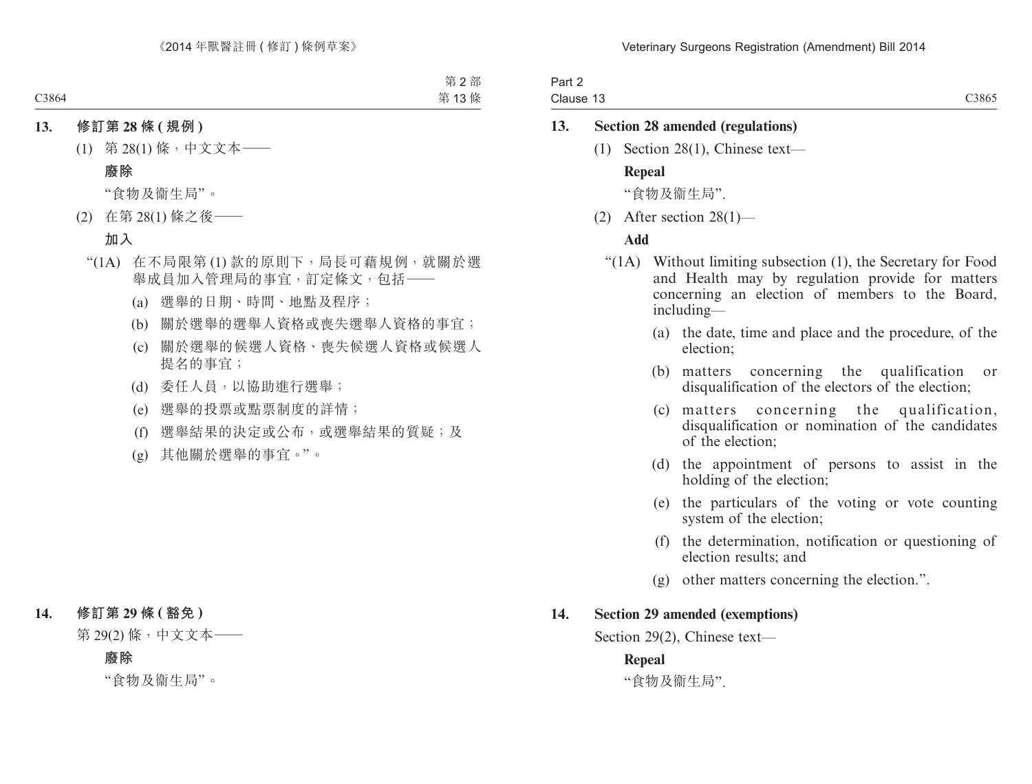Part 2 Clause 13 C3865

### **13. Section 28 amended (regulations)**

(1) Section 28(1), Chinese text—

#### **Repeal**

"食物及衞生局".

(2) After section 28(1)—

#### **Add**

- "(1A) Without limiting subsection (1), the Secretary for Food and Health may by regulation provide for matters concerning an election of members to the Board, including—
	- (a) the date, time and place and the procedure, of the election;
	- (b) matters concerning the qualification or disqualification of the electors of the election;
	- (c) matters concerning the qualification, disqualification or nomination of the candidates of the election;
	- (d) the appointment of persons to assist in the holding of the election;
	- (e) the particulars of the voting or vote counting system of the election;
	- (f) the determination, notification or questioning of election results; and
	- (g) other matters concerning the election.".

#### **14. Section 29 amended (exemptions)**

Section 29(2), Chinese text—

#### **Repeal**

"食物及衞生局".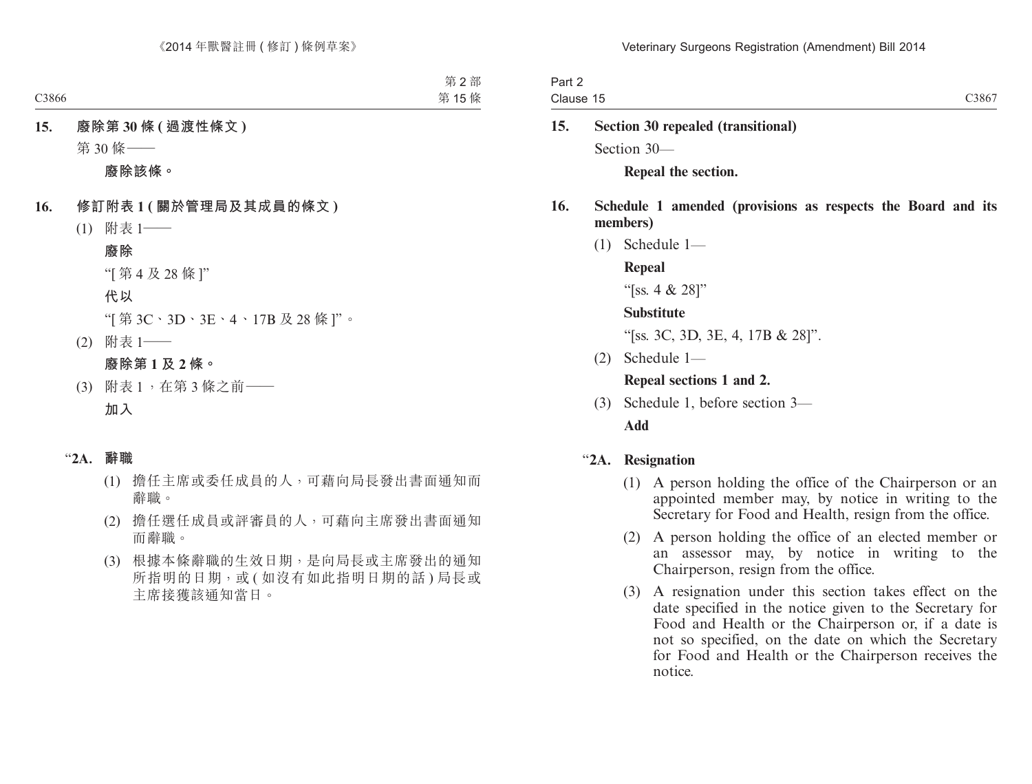| Part 2    |                   |
|-----------|-------------------|
| Clause 15 | C386 <sup>-</sup> |
|           |                   |

**15. Section 30 repealed (transitional)** Section 30—

**Repeal the section.**

- **16. Schedule 1 amended (provisions as respects the Board and its members)**
	- (1) Schedule 1—
		- **Repeal**

"[ss. 4 & 28]"

### **Substitute**

"[ss. 3C, 3D, 3E, 4, 17B & 28]".

(2) Schedule 1—

## **Repeal sections 1 and 2.**

(3) Schedule 1, before section 3— **Add**

# "**2A. Resignation**

- (1) A person holding the office of the Chairperson or an appointed member may, by notice in writing to the Secretary for Food and Health, resign from the office.
- (2) A person holding the office of an elected member or an assessor may, by notice in writing to the Chairperson, resign from the office.
- (3) A resignation under this section takes effect on the date specified in the notice given to the Secretary for Food and Health or the Chairperson or, if a date is not so specified, on the date on which the Secretary for Food and Health or the Chairperson receives the notice.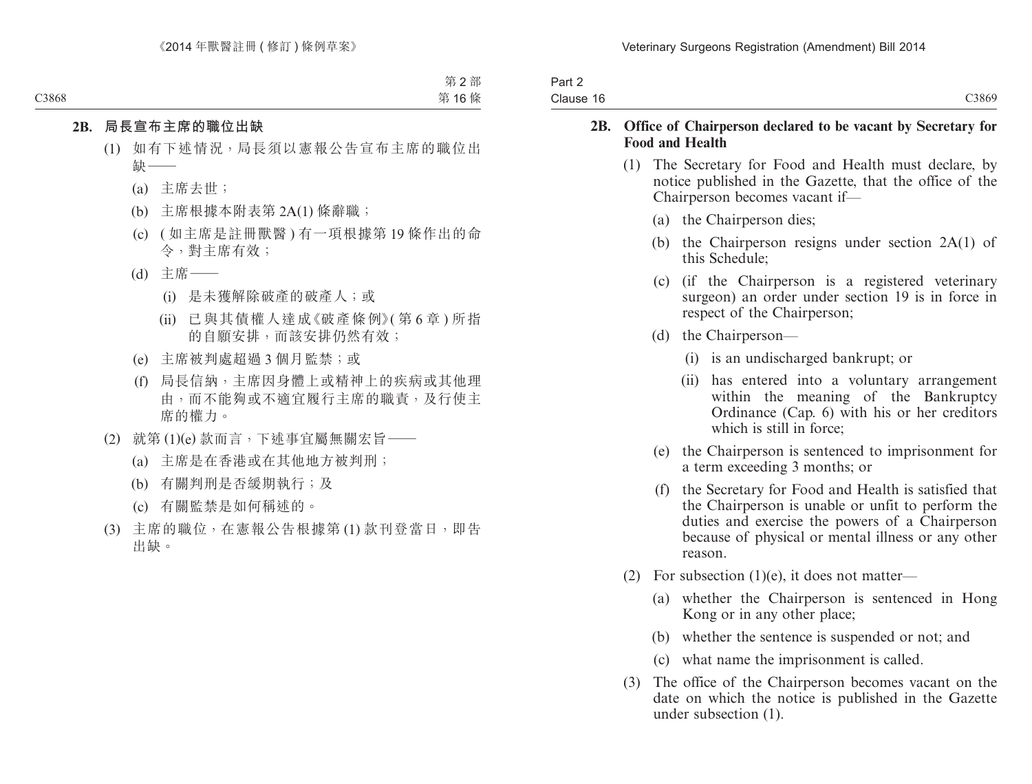| Part 2<br>Clause 16 | C3869 |
|---------------------|-------|
|                     |       |

#### **2B. Office of Chairperson declared to be vacant by Secretary for Food and Health**

- (1) The Secretary for Food and Health must declare, by notice published in the Gazette, that the office of the Chairperson becomes vacant if—
	- (a) the Chairperson dies;
	- (b) the Chairperson resigns under section 2A(1) of this Schedule;
	- (c) (if the Chairperson is a registered veterinary surgeon) an order under section 19 is in force in respect of the Chairperson;
	- (d) the Chairperson—
		- (i) is an undischarged bankrupt; or
		- (ii) has entered into a voluntary arrangement within the meaning of the Bankruptcy Ordinance (Cap. 6) with his or her creditors which is still in force;
	- (e) the Chairperson is sentenced to imprisonment for a term exceeding 3 months; or
	- (f) the Secretary for Food and Health is satisfied that the Chairperson is unable or unfit to perform the duties and exercise the powers of a Chairperson because of physical or mental illness or any other reason.
- (2) For subsection  $(1)(e)$ , it does not matter—
	- (a) whether the Chairperson is sentenced in Hong Kong or in any other place;
	- (b) whether the sentence is suspended or not; and
	- (c) what name the imprisonment is called.
- (3) The office of the Chairperson becomes vacant on the date on which the notice is published in the Gazette under subsection (1).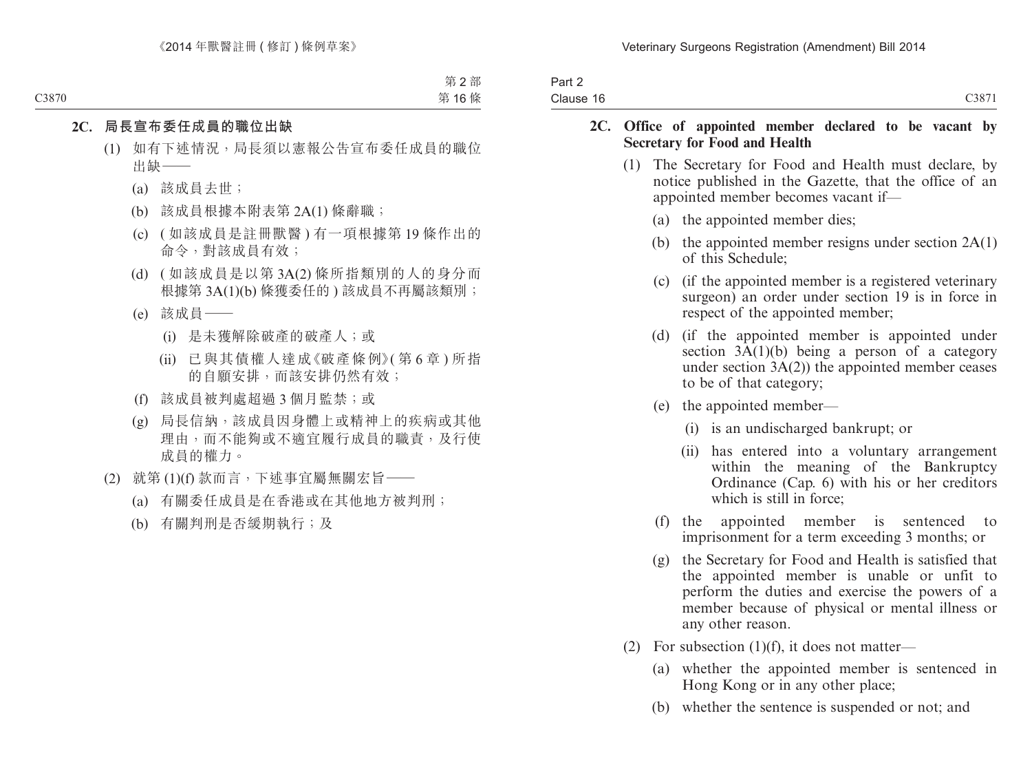| Part 2    |       |
|-----------|-------|
| Clause 16 | C3871 |

#### **2C. Office of appointed member declared to be vacant by Secretary for Food and Health**

- (1) The Secretary for Food and Health must declare, by notice published in the Gazette, that the office of an appointed member becomes vacant if—
	- (a) the appointed member dies;
	- (b) the appointed member resigns under section 2A(1) of this Schedule;
	- (c) (if the appointed member is a registered veterinary surgeon) an order under section 19 is in force in respect of the appointed member;
	- (d) (if the appointed member is appointed under section  $3\overline{A}(1)(b)$  being a person of a category under section  $3A(2)$ ) the appointed member ceases to be of that category;
	- (e) the appointed member—
		- (i) is an undischarged bankrupt; or
		- (ii) has entered into a voluntary arrangement within the meaning of the Bankruptcy Ordinance (Cap. 6) with his or her creditors which is still in force:
	- (f) the appointed member is sentenced to imprisonment for a term exceeding 3 months; or
	- (g) the Secretary for Food and Health is satisfied that the appointed member is unable or unfit to perform the duties and exercise the powers of a member because of physical or mental illness or any other reason.
- (2) For subsection  $(1)(f)$ , it does not matter—
	- (a) whether the appointed member is sentenced in Hong Kong or in any other place;
	- (b) whether the sentence is suspended or not; and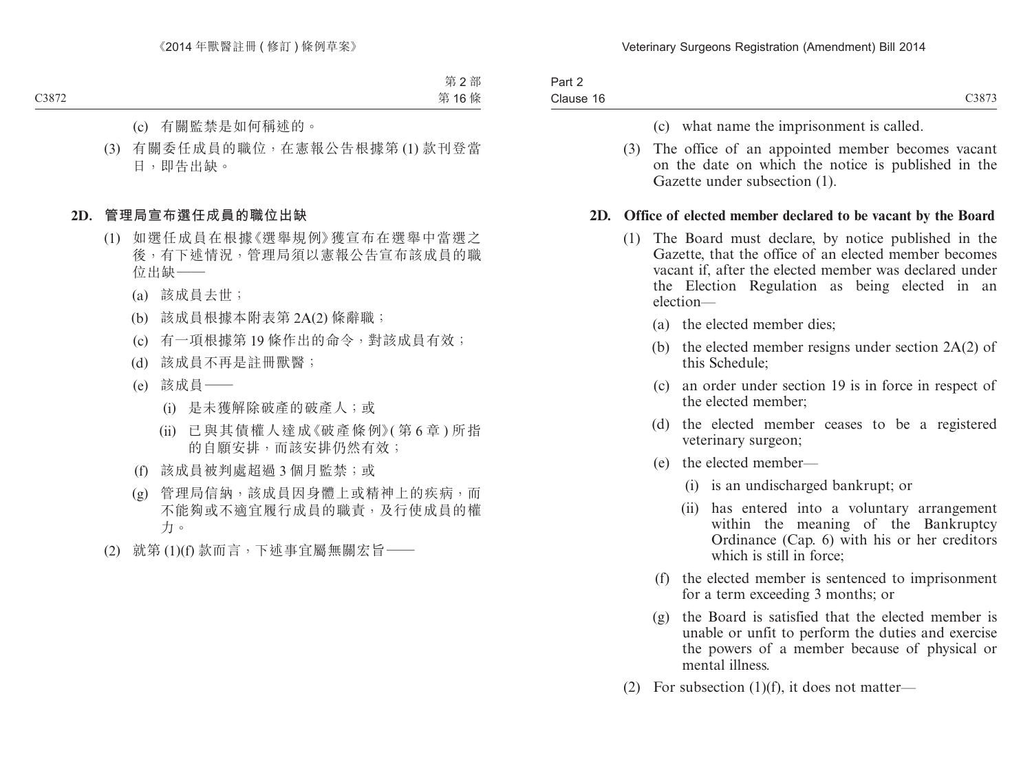| Part 2    |  |
|-----------|--|
| Clause 16 |  |

- (c) what name the imprisonment is called.
- (3) The office of an appointed member becomes vacant on the date on which the notice is published in the Gazette under subsection (1).

### **2D. Office of elected member declared to be vacant by the Board**

- (1) The Board must declare, by notice published in the Gazette, that the office of an elected member becomes vacant if, after the elected member was declared under the Election Regulation as being elected in an election—
	- (a) the elected member dies;
	- (b) the elected member resigns under section 2A(2) of this Schedule;
	- (c) an order under section 19 is in force in respect of the elected member;
	- (d) the elected member ceases to be a registered veterinary surgeon;
	- (e) the elected member—
		- (i) is an undischarged bankrupt; or
		- (ii) has entered into a voluntary arrangement within the meaning of the Bankruptcy Ordinance (Cap. 6) with his or her creditors which is still in force;
	- (f) the elected member is sentenced to imprisonment for a term exceeding 3 months; or
	- (g) the Board is satisfied that the elected member is unable or unfit to perform the duties and exercise the powers of a member because of physical or mental illness.
- (2) For subsection (1)(f), it does not matter—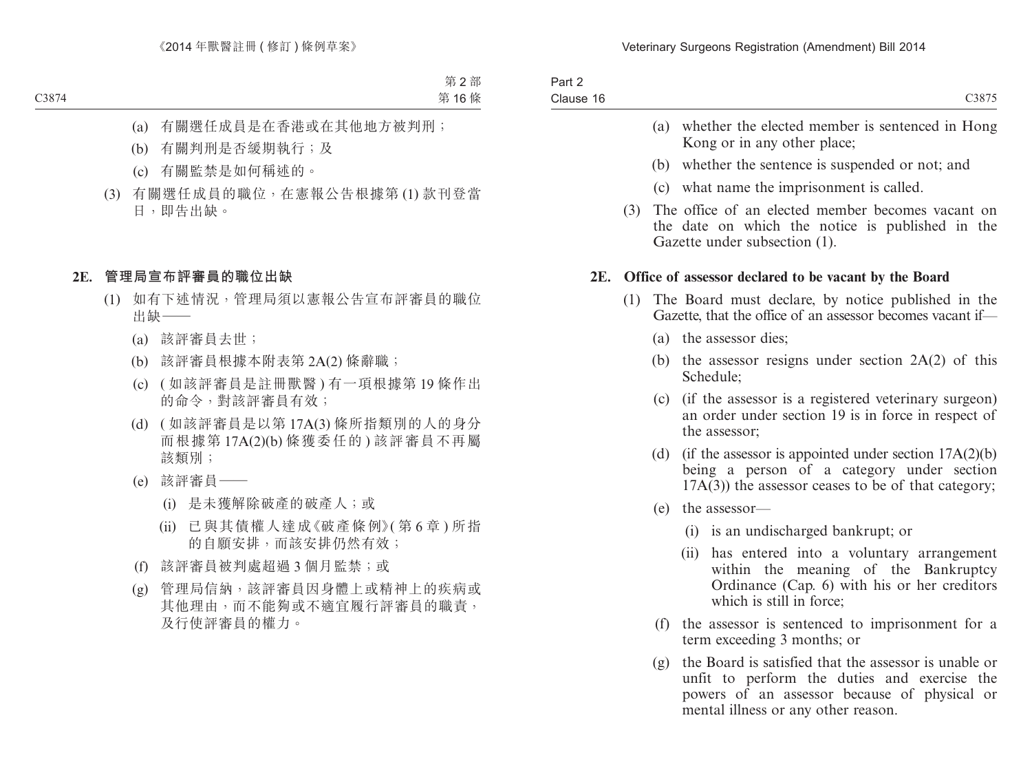| Part 2    |       |
|-----------|-------|
| Clause 16 | C3875 |

- (a) whether the elected member is sentenced in Hong Kong or in any other place;
- (b) whether the sentence is suspended or not; and
- (c) what name the imprisonment is called.
- (3) The office of an elected member becomes vacant on the date on which the notice is published in the Gazette under subsection (1).

#### **2E. Office of assessor declared to be vacant by the Board**

- (1) The Board must declare, by notice published in the Gazette, that the office of an assessor becomes vacant if—
	- (a) the assessor dies;
	- (b) the assessor resigns under section  $2A(2)$  of this Schedule;
	- (c) (if the assessor is a registered veterinary surgeon) an order under section 19 is in force in respect of the assessor;
	- (d) (if the assessor is appointed under section  $17A(2)(b)$ being a person of a category under section  $17A(3)$ ) the assessor ceases to be of that category;
	- (e) the assessor—
		- (i) is an undischarged bankrupt; or
		- (ii) has entered into a voluntary arrangement within the meaning of the Bankruptcy Ordinance (Cap. 6) with his or her creditors which is still in force;
	- (f) the assessor is sentenced to imprisonment for a term exceeding 3 months; or
	- (g) the Board is satisfied that the assessor is unable or unfit to perform the duties and exercise the powers of an assessor because of physical or mental illness or any other reason.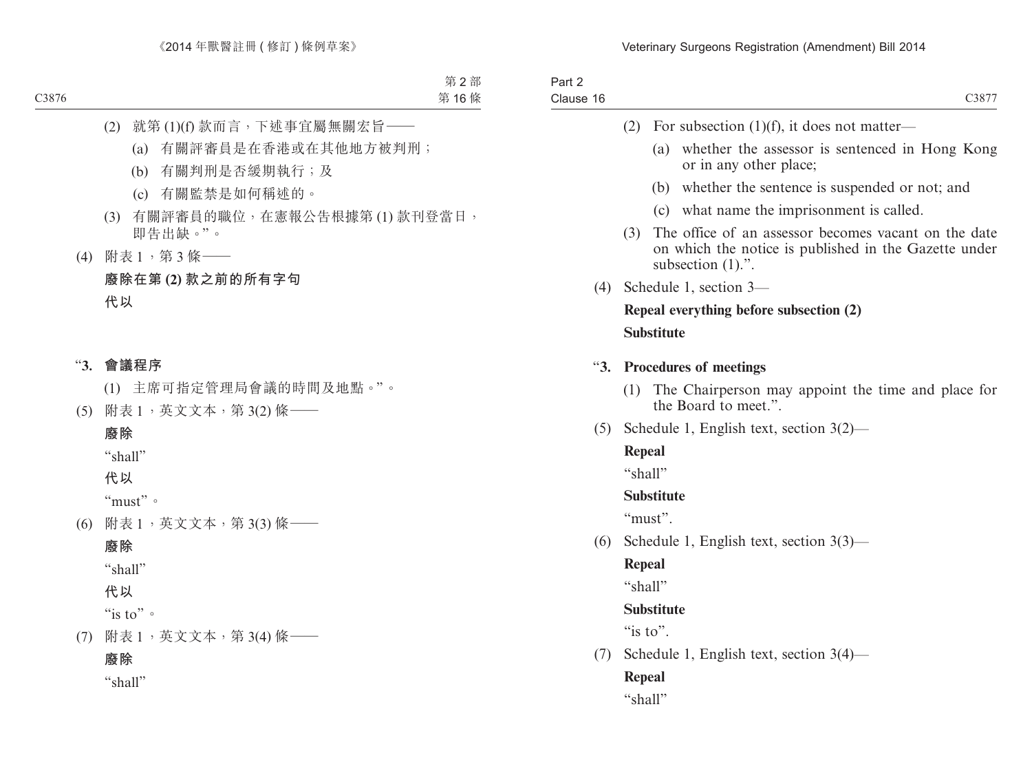| Part 2<br>Clause 16 | C3877                                                                                                                                        |
|---------------------|----------------------------------------------------------------------------------------------------------------------------------------------|
|                     | (2)<br>For subsection $(1)(f)$ , it does not matter—                                                                                         |
|                     | (a)<br>whether the assessor is sentenced in Hong Kong<br>or in any other place;                                                              |
|                     | whether the sentence is suspended or not; and<br>(b)                                                                                         |
|                     | (c) what name the imprisonment is called.                                                                                                    |
|                     | (3)<br>The office of an assessor becomes vacant on the date<br>on which the notice is published in the Gazette under<br>subsection $(1)$ .". |
| (4)                 | Schedule 1, section 3-                                                                                                                       |
|                     | Repeal everything before subsection (2)                                                                                                      |
|                     | <b>Substitute</b>                                                                                                                            |
| $\mathbf{43.}$      | <b>Procedures of meetings</b>                                                                                                                |
|                     | (1)<br>The Chairperson may appoint the time and place for<br>the Board to meet.".                                                            |
| (5)                 | Schedule 1, English text, section $3(2)$ —                                                                                                   |
|                     | Repeal                                                                                                                                       |
|                     | "shall"                                                                                                                                      |
|                     | <b>Substitute</b>                                                                                                                            |
|                     | "must".                                                                                                                                      |
| (6)                 | Schedule 1, English text, section $3(3)$ —                                                                                                   |
|                     | Repeal                                                                                                                                       |
|                     | "shall"                                                                                                                                      |
|                     | <b>Substitute</b>                                                                                                                            |
|                     | "is to".                                                                                                                                     |
| (7)                 | Schedule 1, English text, section $3(4)$ —                                                                                                   |
|                     | Repeal                                                                                                                                       |
|                     | "shall"                                                                                                                                      |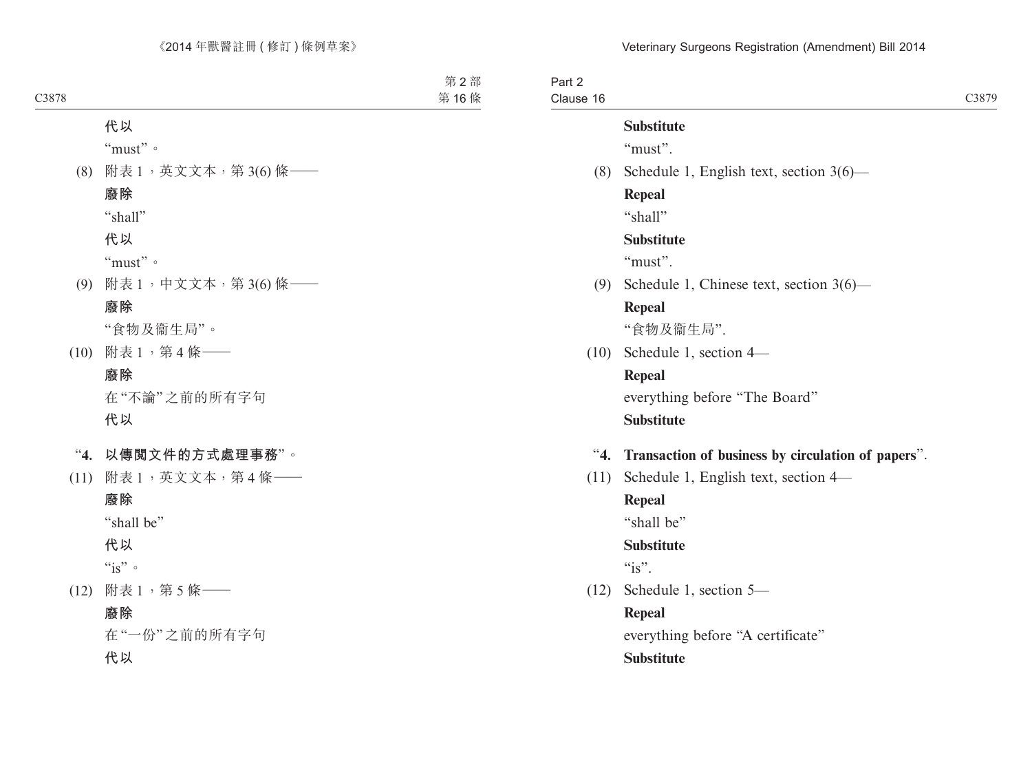| Part 2    |                                                    |       |
|-----------|----------------------------------------------------|-------|
| Clause 16 |                                                    | C3879 |
|           | <b>Substitute</b>                                  |       |
|           | "must".                                            |       |
| (8)       | Schedule 1, English text, section $3(6)$ —         |       |
|           | <b>Repeal</b>                                      |       |
|           | "shall"                                            |       |
|           | <b>Substitute</b>                                  |       |
|           | "must".                                            |       |
| (9)       | Schedule 1, Chinese text, section 3(6)—            |       |
|           | <b>Repeal</b>                                      |       |
|           | "食物及衞生局".                                          |       |
| (10)      | Schedule 1, section 4-                             |       |
|           | <b>Repeal</b>                                      |       |
|           | everything before "The Board"                      |       |
|           | <b>Substitute</b>                                  |       |
| 4.        | Transaction of business by circulation of papers". |       |
| (11)      | Schedule 1, English text, section 4—               |       |
|           | Repeal                                             |       |
|           | "shall be"                                         |       |
|           | <b>Substitute</b>                                  |       |
|           | $\mathscr{C}_1$ is".                               |       |
| (12)      | Schedule 1, section 5-                             |       |
|           | <b>Repeal</b>                                      |       |
|           | everything before "A certificate"                  |       |
|           | <b>Substitute</b>                                  |       |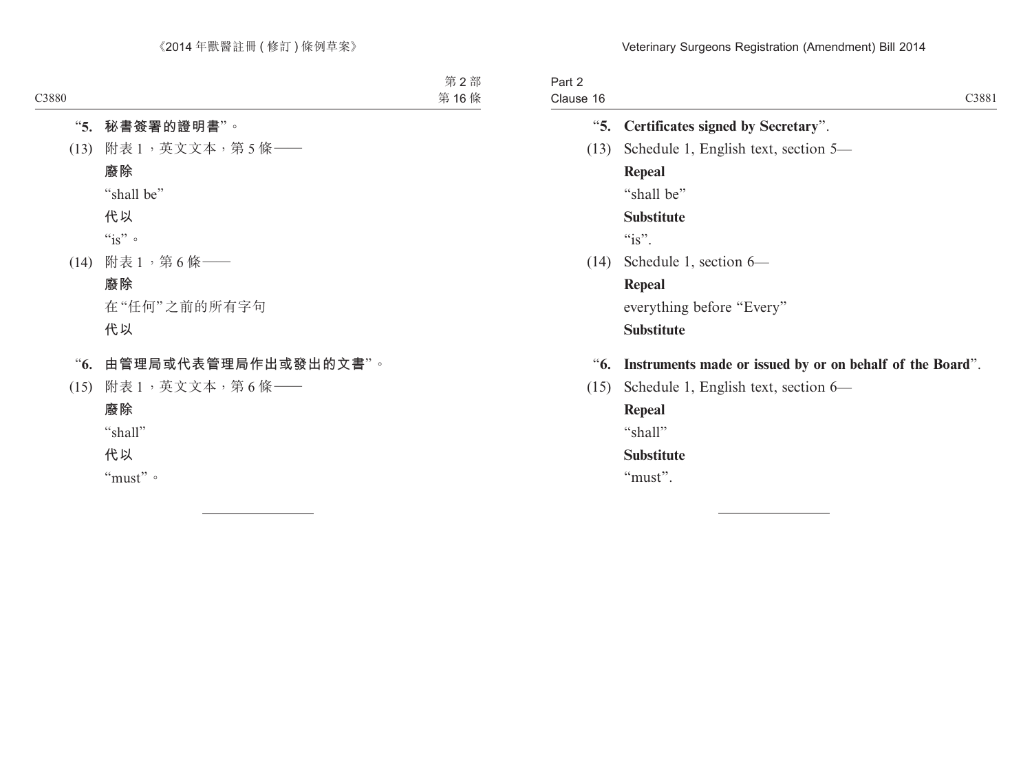| Part 2    |                                                               |
|-----------|---------------------------------------------------------------|
| Clause 16 | C3881                                                         |
|           | "5. Certificates signed by Secretary".                        |
| (13)      | Schedule 1, English text, section 5—                          |
|           | <b>Repeal</b>                                                 |
|           | "shall be"                                                    |
|           | <b>Substitute</b>                                             |
|           | $\degree$ is".                                                |
|           | $(14)$ Schedule 1, section 6—                                 |
|           | Repeal                                                        |
|           | everything before "Every"                                     |
|           | <b>Substitute</b>                                             |
|           | "6. Instruments made or issued by or on behalf of the Board". |
| (15)      | Schedule 1, English text, section $6-$                        |
|           | Repeal                                                        |
|           |                                                               |

"shall"

# **Substitute**

"must".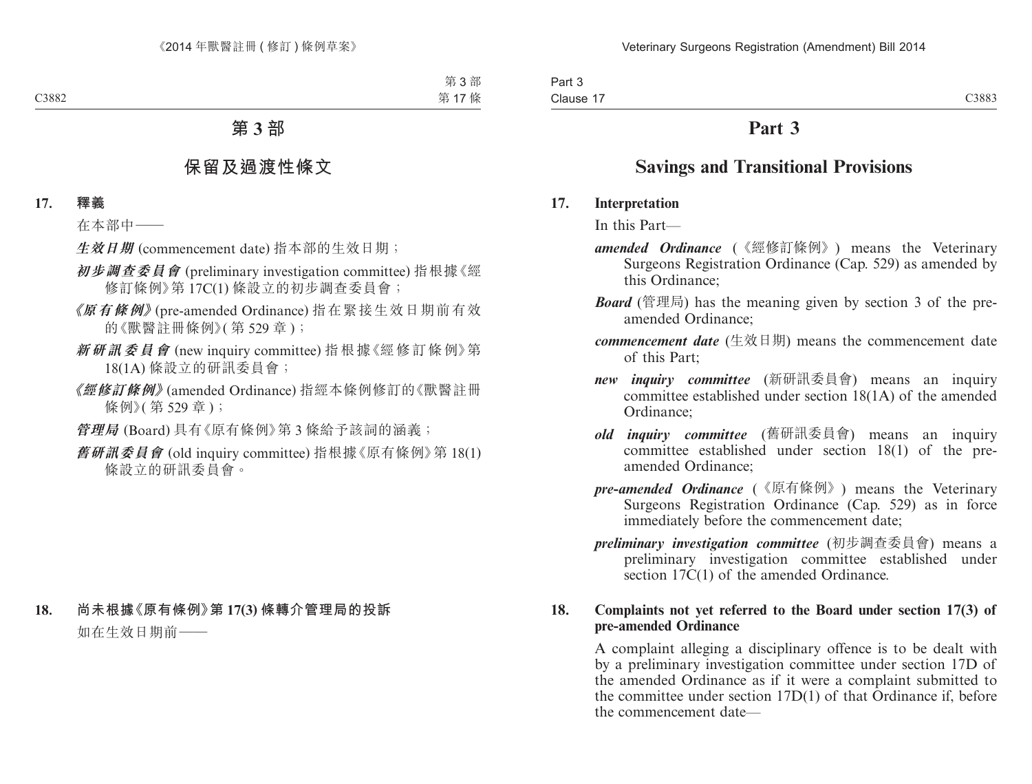# **Part 3**

# **Savings and Transitional Provisions**

### **17. Interpretation**

In this Part—

- *amended Ordinance* (《經修訂條例》) means the Veterinary Surgeons Registration Ordinance (Cap. 529) as amended by this Ordinance;
- *Board* (管理局) has the meaning given by section 3 of the preamended Ordinance;
- *commencement date* (生效日期) means the commencement date of this Part;
- *new inquiry committee* (新研訊委員會) means an inquiry committee established under section 18(1A) of the amended Ordinance;
- *old inquiry committee* (舊研訊委員會) means an inquiry committee established under section 18(1) of the preamended Ordinance;
- *pre-amended Ordinance* (《原有條例》) means the Veterinary Surgeons Registration Ordinance (Cap. 529) as in force immediately before the commencement date;
- *preliminary investigation committee* (初步調查委員會) means a preliminary investigation committee established under section 17C(1) of the amended Ordinance.

## **18. Complaints not yet referred to the Board under section 17(3) of pre-amended Ordinance**

A complaint alleging a disciplinary offence is to be dealt with by a preliminary investigation committee under section 17D of the amended Ordinance as if it were a complaint submitted to the committee under section 17D(1) of that Ordinance if, before the commencement date—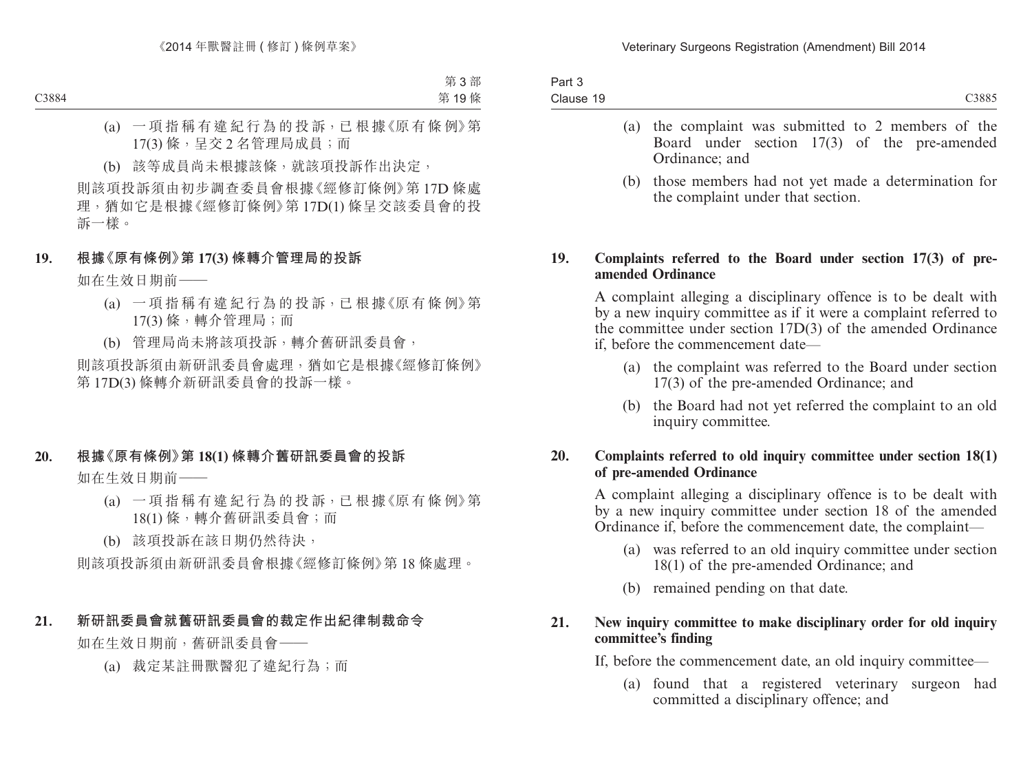| Clause 19 | C <sub>3</sub> 885 |
|-----------|--------------------|

- (a) the complaint was submitted to 2 members of the Board under section 17(3) of the pre-amended Ordinance; and
- (b) those members had not yet made a determination for the complaint under that section.

### **19. Complaints referred to the Board under section 17(3) of preamended Ordinance**

A complaint alleging a disciplinary offence is to be dealt with by a new inquiry committee as if it were a complaint referred to the committee under section 17D(3) of the amended Ordinance if, before the commencement date—

- (a) the complaint was referred to the Board under section 17(3) of the pre-amended Ordinance; and
- (b) the Board had not yet referred the complaint to an old inquiry committee.

## **20. Complaints referred to old inquiry committee under section 18(1) of pre-amended Ordinance**

A complaint alleging a disciplinary offence is to be dealt with by a new inquiry committee under section 18 of the amended Ordinance if, before the commencement date, the complaint—

- (a) was referred to an old inquiry committee under section 18(1) of the pre-amended Ordinance; and
- (b) remained pending on that date.

## **21. New inquiry committee to make disciplinary order for old inquiry committee's finding**

If, before the commencement date, an old inquiry committee—

(a) found that a registered veterinary surgeon had committed a disciplinary offence; and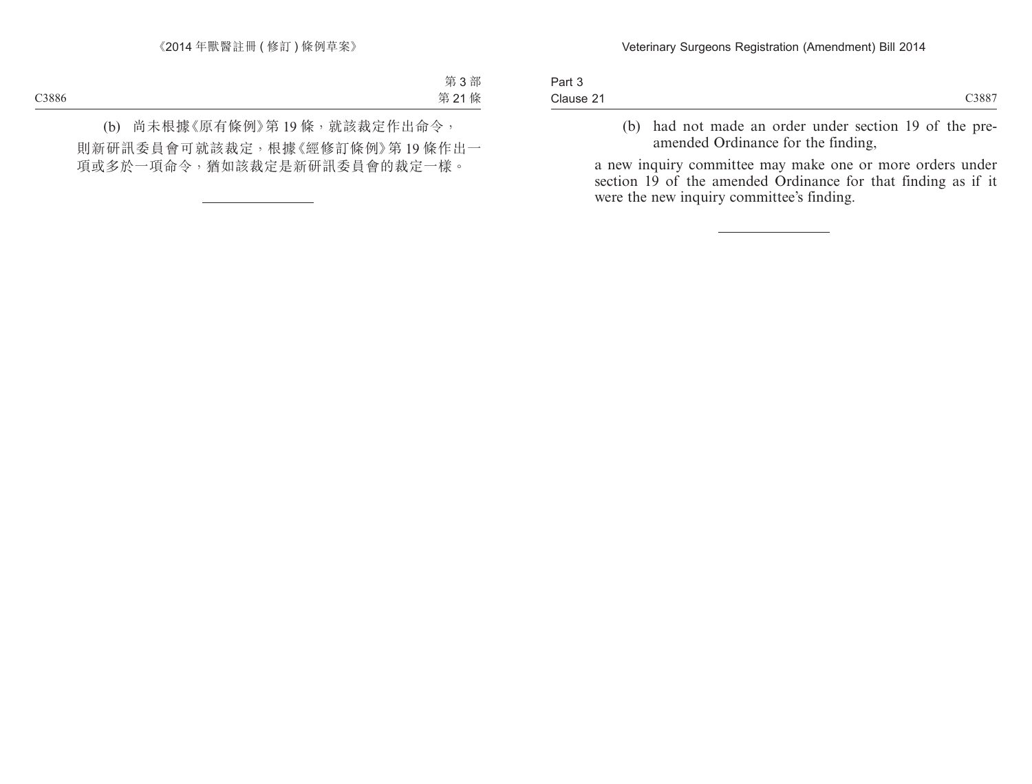| Part 3    |      |
|-----------|------|
| Clause 21 | 388. |

(b) had not made an order under section 19 of the preamended Ordinance for the finding,

a new inquiry committee may make one or more orders under section 19 of the amended Ordinance for that finding as if it were the new inquiry committee's finding.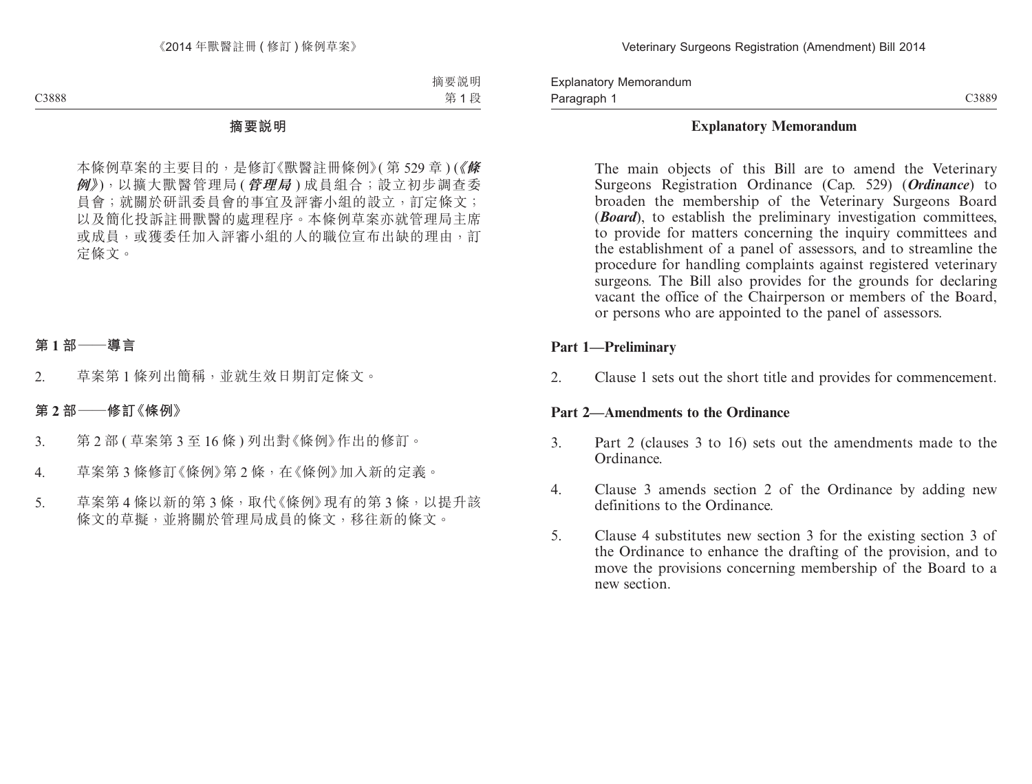Explanatory Memorandum Paragraph 1

C3889

## **Explanatory Memorandum**

The main objects of this Bill are to amend the Veterinary Surgeons Registration Ordinance (Cap. 529) (*Ordinance*) to broaden the membership of the Veterinary Surgeons Board (*Board*), to establish the preliminary investigation committees, to provide for matters concerning the inquiry committees and the establishment of a panel of assessors, and to streamline the procedure for handling complaints against registered veterinary surgeons. The Bill also provides for the grounds for declaring vacant the office of the Chairperson or members of the Board, or persons who are appointed to the panel of assessors.

## **Part 1—Preliminary**

2. Clause 1 sets out the short title and provides for commencement.

### **Part 2—Amendments to the Ordinance**

- 3. Part 2 (clauses 3 to 16) sets out the amendments made to the Ordinance.
- 4. Clause 3 amends section 2 of the Ordinance by adding new definitions to the Ordinance.
- 5. Clause 4 substitutes new section 3 for the existing section 3 of the Ordinance to enhance the drafting of the provision, and to move the provisions concerning membership of the Board to a new section.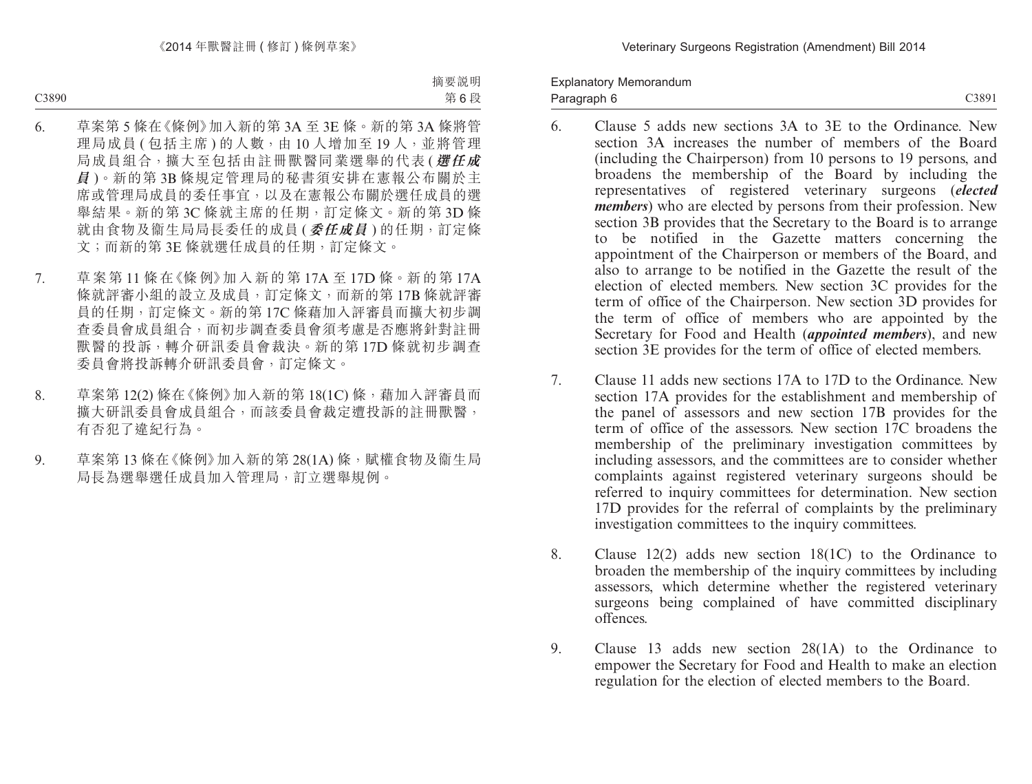Explanatory Memorandum Paragraph 6

C3891

- 6. Clause 5 adds new sections 3A to 3E to the Ordinance. New section 3A increases the number of members of the Board (including the Chairperson) from 10 persons to 19 persons, and broadens the membership of the Board by including the representatives of registered veterinary surgeons (*elected members*) who are elected by persons from their profession. New section 3B provides that the Secretary to the Board is to arrange to be notified in the Gazette matters concerning the appointment of the Chairperson or members of the Board, and also to arrange to be notified in the Gazette the result of the election of elected members. New section 3C provides for the term of office of the Chairperson. New section 3D provides for the term of office of members who are appointed by the Secretary for Food and Health (*appointed members*), and new section 3E provides for the term of office of elected members.
- 7. Clause 11 adds new sections 17A to 17D to the Ordinance. New section 17A provides for the establishment and membership of the panel of assessors and new section 17B provides for the term of office of the assessors. New section 17C broadens the membership of the preliminary investigation committees by including assessors, and the committees are to consider whether complaints against registered veterinary surgeons should be referred to inquiry committees for determination. New section 17D provides for the referral of complaints by the preliminary investigation committees to the inquiry committees.
- 8. Clause 12(2) adds new section 18(1C) to the Ordinance to broaden the membership of the inquiry committees by including assessors, which determine whether the registered veterinary surgeons being complained of have committed disciplinary offences.
- 9. Clause 13 adds new section 28(1A) to the Ordinance to empower the Secretary for Food and Health to make an election regulation for the election of elected members to the Board.